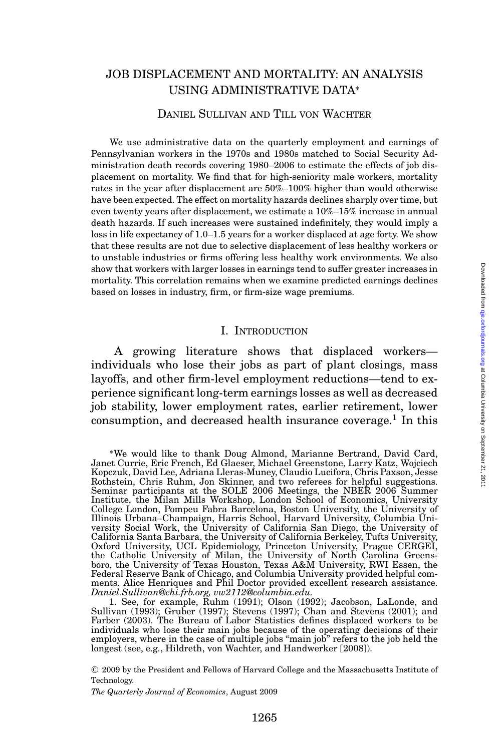# JOB DISPLACEMENT AND MORTALITY: AN ANALYSIS USING ADMINISTRATIVE DATA<sup>∗</sup>

### DANIEL SULLIVAN AND TILL VON WACHTER

We use administrative data on the quarterly employment and earnings of Pennsylvanian workers in the 1970s and 1980s matched to Social Security Administration death records covering 1980–2006 to estimate the effects of job displacement on mortality. We find that for high-seniority male workers, mortality rates in the year after displacement are 50%–100% higher than would otherwise have been expected. The effect on mortality hazards declines sharply over time, but even twenty years after displacement, we estimate a 10%–15% increase in annual death hazards. If such increases were sustained indefinitely, they would imply a loss in life expectancy of 1.0–1.5 years for a worker displaced at age forty. We show that these results are not due to selective displacement of less healthy workers or to unstable industries or firms offering less healthy work environments. We also show that workers with larger losses in earnings tend to suffer greater increases in mortality. This correlation remains when we examine predicted earnings declines based on losses in industry, firm, or firm-size wage premiums.

### I. INTRODUCTION

A growing literature shows that displaced workers individuals who lose their jobs as part of plant closings, mass layoffs, and other firm-level employment reductions—tend to experience significant long-term earnings losses as well as decreased job stability, lower employment rates, earlier retirement, lower consumption, and decreased health insurance coverage.1 In this

<sup>∗</sup>We would like to thank Doug Almond, Marianne Bertrand, David Card, Janet Currie, Eric French, Ed Glaeser, Michael Greenstone, Larry Katz, Wojciech Kopczuk, David Lee, Adriana Lleras-Muney, Claudio Lucifora, Chris Paxson, Jesse Rothstein, Chris Ruhm, Jon Skinner, and two referees for helpful suggestions.<br>Seminar participants at the SOLE 2006 Meetings, the NBER 2006 Summer<br>Institute, the Milan Mills Workshop, London School of Economics, University Illinois Urbana–Champaign, Harris School, Harvard University, Columbia University Social Work, the University of California San Diego, the University of California Santa Barbara, the University of California Berkeley, Tufts University, Oxford University, UCL Epidemiology, Princeton University, Prague CERGEI, the Catholic University of Milan, the University of North Carolina Greens-boro, the University of Texas Houston, Texas A&M University, RWI Essen, the Federal Reserve Bank of Chicago, and Columbia University provided helpful com-ments. Alice Henriques and Phil Doctor provided excellent research assistance. *Daniel.Sullivan@chi.frb.org, vw2112@columbia.edu.*

<sup>1.</sup> See, for example, Ruhm (1991); Olson (1992); Jacobson, LaLonde, and Sullivan (1993); Gruber (1997); Stevens (1997); Chan and Stevens (2001); and<br>Farber (2003). The Bureau of Labor Statistics defines displaced workers to be<br>individuals who lose their main jobs because of the operating decis employers, where in the case of multiple jobs "main job" refers to the job held the longest (see, e.g., Hildreth, von Wachter, and Handwerker [2008]).

<sup>C</sup> 2009 by the President and Fellows of Harvard College and the Massachusetts Institute of Technology.

*The Quarterly Journal of Economics*, August 2009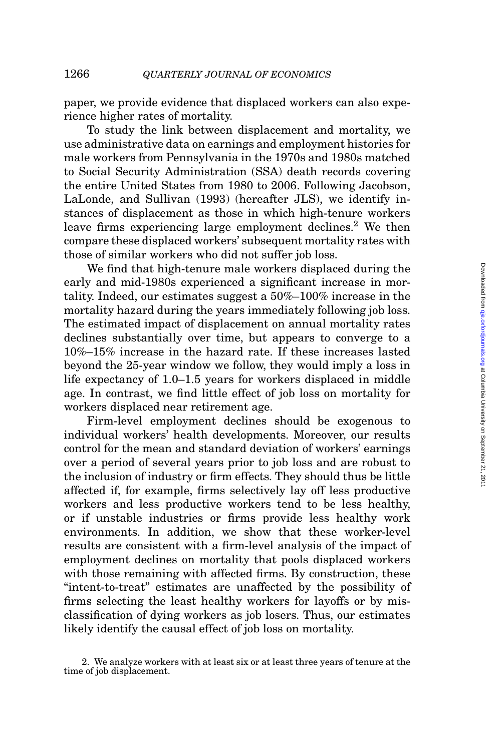paper, we provide evidence that displaced workers can also experience higher rates of mortality.

To study the link between displacement and mortality, we use administrative data on earnings and employment histories for male workers from Pennsylvania in the 1970s and 1980s matched to Social Security Administration (SSA) death records covering the entire United States from 1980 to 2006. Following Jacobson, LaLonde, and Sullivan (1993) (hereafter JLS), we identify instances of displacement as those in which high-tenure workers leave firms experiencing large employment declines.<sup>2</sup> We then compare these displaced workers' subsequent mortality rates with those of similar workers who did not suffer job loss.

We find that high-tenure male workers displaced during the early and mid-1980s experienced a significant increase in mortality. Indeed, our estimates suggest a 50%–100% increase in the mortality hazard during the years immediately following job loss. The estimated impact of displacement on annual mortality rates declines substantially over time, but appears to converge to a 10%–15% increase in the hazard rate. If these increases lasted beyond the 25-year window we follow, they would imply a loss in life expectancy of 1.0–1.5 years for workers displaced in middle age. In contrast, we find little effect of job loss on mortality for workers displaced near retirement age.

Firm-level employment declines should be exogenous to individual workers' health developments. Moreover, our results control for the mean and standard deviation of workers' earnings over a period of several years prior to job loss and are robust to the inclusion of industry or firm effects. They should thus be little affected if, for example, firms selectively lay off less productive workers and less productive workers tend to be less healthy, or if unstable industries or firms provide less healthy work environments. In addition, we show that these worker-level results are consistent with a firm-level analysis of the impact of employment declines on mortality that pools displaced workers with those remaining with affected firms. By construction, these "intent-to-treat" estimates are unaffected by the possibility of firms selecting the least healthy workers for layoffs or by misclassification of dying workers as job losers. Thus, our estimates likely identify the causal effect of job loss on mortality.

<sup>2.</sup> We analyze workers with at least six or at least three years of tenure at the time of job displacement.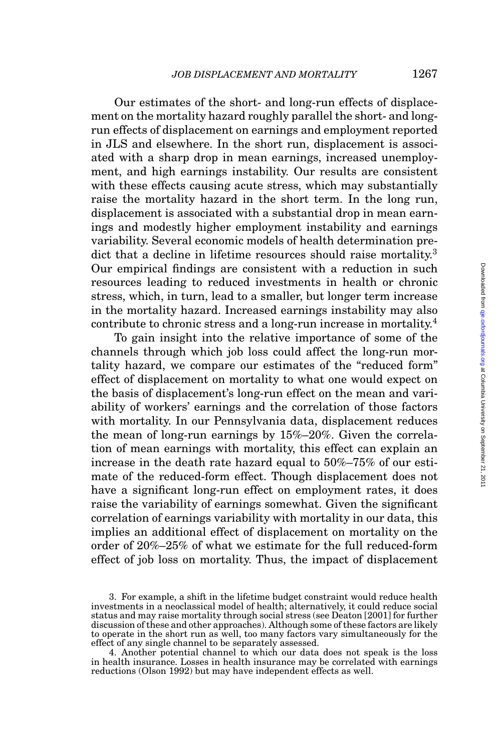Our estimates of the short- and long-run effects of displacement on the mortality hazard roughly parallel the short- and longrun effects of displacement on earnings and employment reported in JLS and elsewhere. In the short run, displacement is associated with a sharp drop in mean earnings, increased unemployment, and high earnings instability. Our results are consistent with these effects causing acute stress, which may substantially raise the mortality hazard in the short term. In the long run, displacement is associated with a substantial drop in mean earnings and modestly higher employment instability and earnings variability. Several economic models of health determination predict that a decline in lifetime resources should raise mortality.<sup>3</sup> Our empirical findings are consistent with a reduction in such resources leading to reduced investments in health or chronic stress, which, in turn, lead to a smaller, but longer term increase in the mortality hazard. Increased earnings instability may also contribute to chronic stress and a long-run increase in mortality.<sup>4</sup>

To gain insight into the relative importance of some of the channels through which job loss could affect the long-run mortality hazard, we compare our estimates of the "reduced form" effect of displacement on mortality to what one would expect on the basis of displacement's long-run effect on the mean and variability of workers' earnings and the correlation of those factors with mortality. In our Pennsylvania data, displacement reduces the mean of long-run earnings by 15%–20%. Given the correlation of mean earnings with mortality, this effect can explain an increase in the death rate hazard equal to 50%–75% of our estimate of the reduced-form effect. Though displacement does not have a significant long-run effect on employment rates, it does raise the variability of earnings somewhat. Given the significant correlation of earnings variability with mortality in our data, this implies an additional effect of displacement on mortality on the order of 20%–25% of what we estimate for the full reduced-form effect of job loss on mortality. Thus, the impact of displacement

<sup>3.</sup> For example, a shift in the lifetime budget constraint would reduce health investments in a neoclassical model of health; alternatively, it could reduce social status and may raise mortality through social stress (see Deaton [2001] for further discussion of these and other approaches). Although some of these factors are likely to operate in the short run as well, too many factors vary simultaneously for the effect of any single channel to be separately assessed.

<sup>4.</sup> Another potential channel to which our data does not speak is the loss in health insurance. Losses in health insurance may be correlated with earnings reductions (Olson 1992) but may have independent effects as well.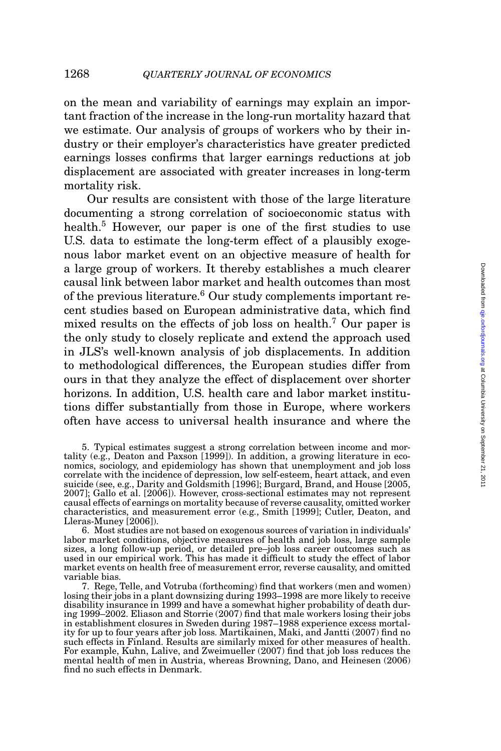on the mean and variability of earnings may explain an important fraction of the increase in the long-run mortality hazard that we estimate. Our analysis of groups of workers who by their industry or their employer's characteristics have greater predicted earnings losses confirms that larger earnings reductions at job displacement are associated with greater increases in long-term mortality risk.

Our results are consistent with those of the large literature documenting a strong correlation of socioeconomic status with health.<sup>5</sup> However, our paper is one of the first studies to use U.S. data to estimate the long-term effect of a plausibly exogenous labor market event on an objective measure of health for a large group of workers. It thereby establishes a much clearer causal link between labor market and health outcomes than most of the previous literature. $6$  Our study complements important recent studies based on European administrative data, which find mixed results on the effects of job loss on health.<sup>7</sup> Our paper is the only study to closely replicate and extend the approach used in JLS's well-known analysis of job displacements. In addition to methodological differences, the European studies differ from ours in that they analyze the effect of displacement over shorter horizons. In addition, U.S. health care and labor market institutions differ substantially from those in Europe, where workers often have access to universal health insurance and where the

5. Typical estimates suggest a strong correlation between income and mortality (e.g., Deaton and Paxson [1999]). In addition, a growing literature in economics, sociology, and epidemiology has shown that unemployment and job loss correlate with the incidence of depression, low self-esteem, heart attack, and even suicide (see, e.g., Darity and Goldsmith [1996]; Burgard, Brand, and House [2005, 2007]; Gallo et al. [2006]). However, cross-sectional estimates may not represent causal effects of earnings on mortality because of reverse causality, omitted worker characteristics, and measurement error (e.g., Smith [1999]; Cutler, Deaton, and Lleras-Muney [2006]).

6. Most studies are not based on exogenous sources of variation in individuals' labor market conditions, objective measures of health and job loss, large sample sizes, a long follow-up period, or detailed pre–job loss career outcomes such as used in our empirical work. This has made it difficult to study the effect of labor market events on health free of measurement error, reverse causality, and omitted variable bias.

7. Rege, Telle, and Votruba (forthcoming) find that workers (men and women) losing their jobs in a plant downsizing during 1993–1998 are more likely to receive disability insurance in 1999 and have a somewhat higher probability of death during 1999–2002. Eliason and Storrie (2007) find that male workers losing their jobs in establishment closures in Sweden during 1987–1988 experience excess mortal-ity for up to four years after job loss. Martikainen, Maki, and Jantti (2007) find no such effects in Finland. Results are similarly mixed for other measures of health. For example, Kuhn, Lalive, and Zweimueller (2007) find that job loss reduces the mental health of men in Austria, whereas Browning, Dano, and Heinesen (2006) find no such effects in Denmark.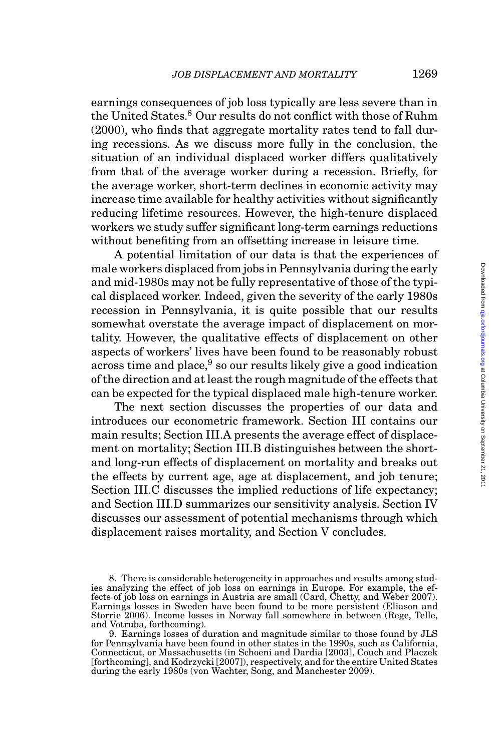earnings consequences of job loss typically are less severe than in the United States.8 Our results do not conflict with those of Ruhm (2000), who finds that aggregate mortality rates tend to fall during recessions. As we discuss more fully in the conclusion, the situation of an individual displaced worker differs qualitatively from that of the average worker during a recession. Briefly, for the average worker, short-term declines in economic activity may increase time available for healthy activities without significantly reducing lifetime resources. However, the high-tenure displaced workers we study suffer significant long-term earnings reductions without benefiting from an offsetting increase in leisure time.

A potential limitation of our data is that the experiences of male workers displaced from jobs in Pennsylvania during the early and mid-1980s may not be fully representative of those of the typical displaced worker. Indeed, given the severity of the early 1980s recession in Pennsylvania, it is quite possible that our results somewhat overstate the average impact of displacement on mortality. However, the qualitative effects of displacement on other aspects of workers' lives have been found to be reasonably robust across time and place, $9$  so our results likely give a good indication of the direction and at least the rough magnitude of the effects that can be expected for the typical displaced male high-tenure worker.

The next section discusses the properties of our data and introduces our econometric framework. Section III contains our main results; Section III.A presents the average effect of displacement on mortality; Section III.B distinguishes between the shortand long-run effects of displacement on mortality and breaks out the effects by current age, age at displacement, and job tenure; Section III.C discusses the implied reductions of life expectancy; and Section III.D summarizes our sensitivity analysis. Section IV discusses our assessment of potential mechanisms through which displacement raises mortality, and Section V concludes.

<sup>8.</sup> There is considerable heterogeneity in approaches and results among studies analyzing the effect of job loss on earnings in Europe. For example, the ef-fects of job loss on earnings in Austria are small (Card, Chetty, and Weber 2007). Earnings losses in Sweden have been found to be more persistent (Eliason and Storrie 2006). Income losses in Norway fall somewhere in between (Rege, Telle, and Votruba, forthcoming).

<sup>9.</sup> Earnings losses of duration and magnitude similar to those found by JLS for Pennsylvania have been found in other states in the 1990s, such as California, Connecticut, or Massachusetts (in Schoeni and Dardia [2003], Couch and Placzek [forthcoming], and Kodrzycki [2007]), respectively, and for the entire United States during the early 1980s (von Wachter, Song, and Manchester 2009).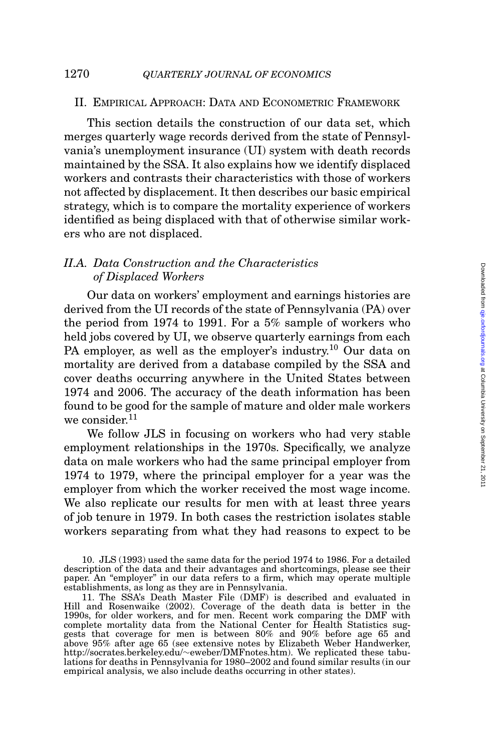### II. EMPIRICAL APPROACH: DATA AND ECONOMETRIC FRAMEWORK

This section details the construction of our data set, which merges quarterly wage records derived from the state of Pennsylvania's unemployment insurance (UI) system with death records maintained by the SSA. It also explains how we identify displaced workers and contrasts their characteristics with those of workers not affected by displacement. It then describes our basic empirical strategy, which is to compare the mortality experience of workers identified as being displaced with that of otherwise similar workers who are not displaced.

### *II.A. Data Construction and the Characteristics of Displaced Workers*

Our data on workers' employment and earnings histories are derived from the UI records of the state of Pennsylvania (PA) over the period from 1974 to 1991. For a 5% sample of workers who held jobs covered by UI, we observe quarterly earnings from each PA employer, as well as the employer's industry.<sup>10</sup> Our data on mortality are derived from a database compiled by the SSA and cover deaths occurring anywhere in the United States between 1974 and 2006. The accuracy of the death information has been found to be good for the sample of mature and older male workers we consider.<sup>11</sup>

We follow JLS in focusing on workers who had very stable employment relationships in the 1970s. Specifically, we analyze data on male workers who had the same principal employer from 1974 to 1979, where the principal employer for a year was the employer from which the worker received the most wage income. We also replicate our results for men with at least three years of job tenure in 1979. In both cases the restriction isolates stable workers separating from what they had reasons to expect to be

<sup>10.</sup> JLS (1993) used the same data for the period 1974 to 1986. For a detailed description of the data and their advantages and shortcomings, please see their paper. An "employer" in our data refers to a firm, which may operate multiple establishments, as long as they are in Pennsylvania.

<sup>11.</sup> The SSA's Death Master File (DMF) is described and evaluated in Hill and Rosenwaike (2002). Coverage of the death data is better in the 1990s, for older workers, and for men. Recent work comparing the DMF with complete mortality data from the National Center for Health Statistics sugg lations for deaths in Pennsylvania for 1980–2002 and found similar results (in our empirical analysis, we also include deaths occurring in other states).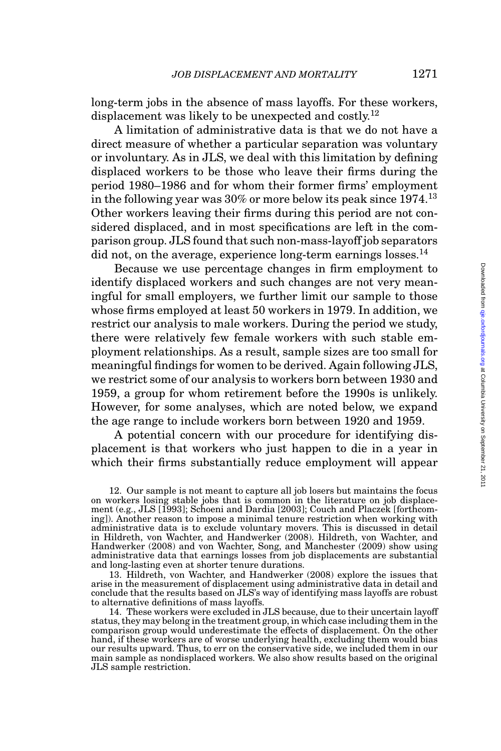long-term jobs in the absence of mass layoffs. For these workers, displacement was likely to be unexpected and costly.<sup>12</sup>

A limitation of administrative data is that we do not have a direct measure of whether a particular separation was voluntary or involuntary. As in JLS, we deal with this limitation by defining displaced workers to be those who leave their firms during the period 1980–1986 and for whom their former firms' employment in the following year was 30% or more below its peak since 1974.<sup>13</sup> Other workers leaving their firms during this period are not considered displaced, and in most specifications are left in the comparison group. JLS found that such non-mass-layoff job separators did not, on the average, experience long-term earnings losses.<sup>14</sup>

Because we use percentage changes in firm employment to identify displaced workers and such changes are not very meaningful for small employers, we further limit our sample to those whose firms employed at least 50 workers in 1979. In addition, we restrict our analysis to male workers. During the period we study, there were relatively few female workers with such stable employment relationships. As a result, sample sizes are too small for meaningful findings for women to be derived. Again following JLS, we restrict some of our analysis to workers born between 1930 and 1959, a group for whom retirement before the 1990s is unlikely. However, for some analyses, which are noted below, we expand the age range to include workers born between 1920 and 1959.

A potential concern with our procedure for identifying displacement is that workers who just happen to die in a year in which their firms substantially reduce employment will appear

13. Hildreth, von Wachter, and Handwerker (2008) explore the issues that arise in the measurement of displacement using administrative data in detail and conclude that the results based on JLS's way of identifying mass layoffs are robust to alternative definitions of mass layoffs.

14. These workers were excluded in JLS because, due to their uncertain layoff status, they may belong in the treatment group, in which case including them in the comparison group would underestimate the effects of displacement. On the other hand, if these workers are of worse underlying health, excluding them would bias our results upward. Thus, to err on the conservative side, we included them in our main sample as nondisplaced workers. We also show results based on the original JLS sample restriction.

<sup>12.</sup> Our sample is not meant to capture all job losers but maintains the focus on workers losing stable jobs that is common in the literature on job displacement (e.g., JLS [1993]; Schoeni and Dardia [2003]; Couch and Placzek [forthcoming]). Another reason to impose a minimal tenure restriction when working with administrative data is to exclude voluntary movers. This is discussed in detail in Hildreth, von Wachter, and Handwerker (2008). Hildreth, von Wachter, and Handwerker (2008) and von Wachter, Song, and Manchester (2009) show using administrative data that earnings losses from job displacements are substantial and long-lasting even at shorter tenure durations.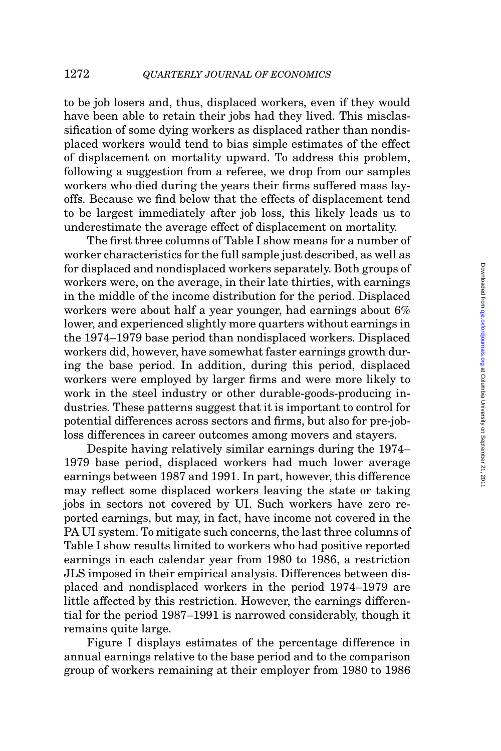to be job losers and, thus, displaced workers, even if they would have been able to retain their jobs had they lived. This misclassification of some dying workers as displaced rather than nondisplaced workers would tend to bias simple estimates of the effect of displacement on mortality upward. To address this problem, following a suggestion from a referee, we drop from our samples workers who died during the years their firms suffered mass layoffs. Because we find below that the effects of displacement tend to be largest immediately after job loss, this likely leads us to underestimate the average effect of displacement on mortality.

The first three columns of Table I show means for a number of worker characteristics for the full sample just described, as well as for displaced and nondisplaced workers separately. Both groups of workers were, on the average, in their late thirties, with earnings in the middle of the income distribution for the period. Displaced workers were about half a year younger, had earnings about 6% lower, and experienced slightly more quarters without earnings in the 1974–1979 base period than nondisplaced workers. Displaced workers did, however, have somewhat faster earnings growth during the base period. In addition, during this period, displaced workers were employed by larger firms and were more likely to work in the steel industry or other durable-goods-producing industries. These patterns suggest that it is important to control for potential differences across sectors and firms, but also for pre-jobloss differences in career outcomes among movers and stayers.

Despite having relatively similar earnings during the 1974– 1979 base period, displaced workers had much lower average earnings between 1987 and 1991. In part, however, this difference may reflect some displaced workers leaving the state or taking jobs in sectors not covered by UI. Such workers have zero reported earnings, but may, in fact, have income not covered in the PA UI system. To mitigate such concerns, the last three columns of Table I show results limited to workers who had positive reported earnings in each calendar year from 1980 to 1986, a restriction JLS imposed in their empirical analysis. Differences between displaced and nondisplaced workers in the period 1974–1979 are little affected by this restriction. However, the earnings differential for the period 1987–1991 is narrowed considerably, though it remains quite large.

Figure I displays estimates of the percentage difference in annual earnings relative to the base period and to the comparison group of workers remaining at their employer from 1980 to 1986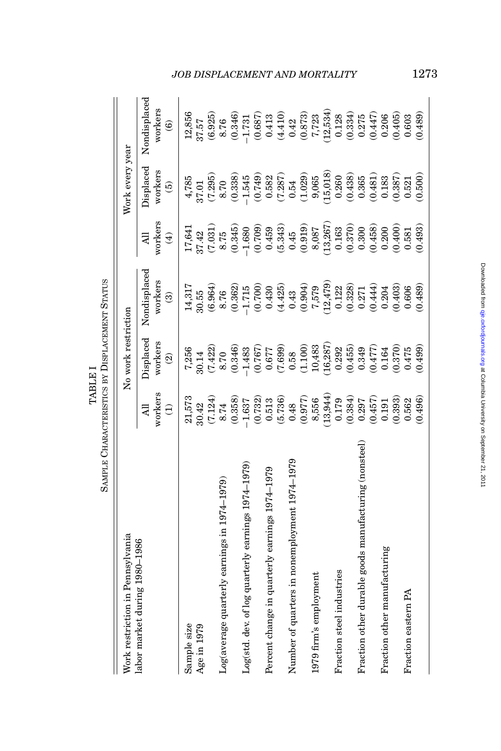| on the complete the contract of the contract of the contract of the contract of the contract of the contract of the contract of the contract of the contract of the contract of the contract of the contract of the contract o |                         |                                                            |                                                             |                                                            |                                             |                                                                                           |
|--------------------------------------------------------------------------------------------------------------------------------------------------------------------------------------------------------------------------------|-------------------------|------------------------------------------------------------|-------------------------------------------------------------|------------------------------------------------------------|---------------------------------------------|-------------------------------------------------------------------------------------------|
| Work restriction in Pennsylvania                                                                                                                                                                                               |                         | No work restriction                                        |                                                             |                                                            | Work every year                             |                                                                                           |
| labor market during 1980–1986                                                                                                                                                                                                  | 티                       | Displaced                                                  | Nondisplaced                                                | Я                                                          | <b>Displaced</b>                            | Nondisplaced                                                                              |
|                                                                                                                                                                                                                                | workers                 | workers                                                    | workers                                                     | workers                                                    | workers                                     | vorkers                                                                                   |
|                                                                                                                                                                                                                                | $\widehat{\Xi}$         | $\widehat{\mathfrak{D}}$                                   | $\widehat{\mathfrak{G}}$                                    | $\bigoplus$                                                | $\widehat{e}$                               | $\widehat{\mathbf{e}}$                                                                    |
| Sample size                                                                                                                                                                                                                    | 21,573                  | 7,256                                                      | 14,317                                                      | 17,641                                                     | 4,785                                       | 12,856                                                                                    |
| Age in 1979                                                                                                                                                                                                                    | 30.42                   |                                                            | 30.55                                                       | 37.42                                                      | 37.01                                       | 37.57                                                                                     |
|                                                                                                                                                                                                                                | (7.124)                 | (7.422)                                                    | (6.964)                                                     | (7.031)                                                    | (7.295)                                     | (6.925)                                                                                   |
| Log(average quarterly earnings in 1974–1979)                                                                                                                                                                                   | 8.74                    |                                                            | 8.76                                                        | 8.75                                                       | 8.70                                        |                                                                                           |
|                                                                                                                                                                                                                                | (0.358)                 | $\frac{8.70}{(0.346)}$<br>1.483                            | $(0.362)$<br>-1.715                                         | (0.345)                                                    | $(0.338)$<br>1.545                          | $\begin{array}{c} 8.76 \\ (0.346) \\ -1.731 \end{array}$                                  |
| Log(std. dev. of log quarterly earnings 1974–1979)                                                                                                                                                                             | $-1.637$                |                                                            |                                                             | $-1.680$                                                   |                                             |                                                                                           |
|                                                                                                                                                                                                                                | (0.732)                 |                                                            |                                                             | $\begin{array}{c} (0.709) \\ 0.459 \\ (5.343) \end{array}$ | $(0.749)$<br>$0.582$<br>$(7.287)$<br>$0.54$ | $\begin{array}{c} (0.687) \\ 0.413 \\ (4.410) \\ 0.42 \\ (0.873) \\ 7,723 \\ \end{array}$ |
| Percent change in quarterly earnings 1974–1979                                                                                                                                                                                 | $0.513$<br>(5.736)      | $\begin{array}{c} (0.767) \\ 0.677 \\ (7.699) \end{array}$ |                                                             |                                                            |                                             |                                                                                           |
|                                                                                                                                                                                                                                |                         |                                                            | $\begin{array}{c} (0.700) \\ 0.430 \\ (4.425) \end{array}$  |                                                            |                                             |                                                                                           |
| Number of quarters in nonemployment 1974–1979                                                                                                                                                                                  | 0.48                    | 0.58                                                       | 0.43                                                        | 0.45                                                       |                                             |                                                                                           |
|                                                                                                                                                                                                                                | $\frac{(0.977)}{8,556}$ | (1.100)                                                    | $\begin{array}{c} (0.904) \\ 7,579 \\ (12,479) \end{array}$ | (0.919)                                                    | (1.029)                                     |                                                                                           |
| 1979 firm's employment                                                                                                                                                                                                         |                         | 10,483                                                     |                                                             | $\frac{8,087}{(13,267)}$                                   | 9,065                                       |                                                                                           |
|                                                                                                                                                                                                                                | (13, 944)               | 16,287)                                                    |                                                             |                                                            | (15, 018)                                   |                                                                                           |
| Fraction steel industries                                                                                                                                                                                                      |                         | 0.292                                                      | 0.122                                                       |                                                            |                                             | 0.128                                                                                     |
|                                                                                                                                                                                                                                | $(0.179$<br>$(0.384)$   | (0.455)                                                    | (0.328)                                                     | $\begin{array}{c} 0.163 \\ (0.370) \\ 0.300 \end{array}$   | $\frac{0.260}{0.438}$                       | (0.334)                                                                                   |
| Fraction other durable goods manufacturing (nonsteel                                                                                                                                                                           | 0.297                   | 0.349                                                      | $0.271\,$                                                   |                                                            | 0.365                                       | 0.275                                                                                     |
|                                                                                                                                                                                                                                | (0.457)                 | 0.477)                                                     | (0.444)                                                     | $\begin{array}{c} (0.458) \\ 0.200 \end{array}$            | $\frac{0.481}{0.183}$                       | $\begin{array}{c} (0.447) \\ 0.206 \end{array}$                                           |
| Fraction other manufacturing                                                                                                                                                                                                   | 0.191                   | 0.164                                                      | 0.204                                                       |                                                            |                                             |                                                                                           |
|                                                                                                                                                                                                                                | (0.393)                 | 0.370)                                                     | (0.403)                                                     | $\frac{(0.400)}{0.581}$                                    | 0.387                                       | (0.405)                                                                                   |
| Fraction eastern PA                                                                                                                                                                                                            | 0.562                   | 0.475                                                      | 0.606                                                       |                                                            | 0.521                                       | 0.603                                                                                     |
|                                                                                                                                                                                                                                | (0.496)                 | (665, 0)                                                   | (0.489)                                                     | (0.493)                                                    | (0.500)                                     | (0.489)                                                                                   |

SAMPLE CHARACTERISTICS BY DISPLACEMENT STATUS SAMPLE CHARACTERISTICS BY DISPLACEMENT STATUS **TABLE I** TABLE I

Downloaded from qje.oxfordjournals.org at Columbia University on September 21, 2011 Downloaded from [qje.oxfordjournals.org](http://qje.oxfordjournals.org/) at Columbia University on September 21, 2011

# *JOB DISPLACEMENT AND MORTALITY* 1273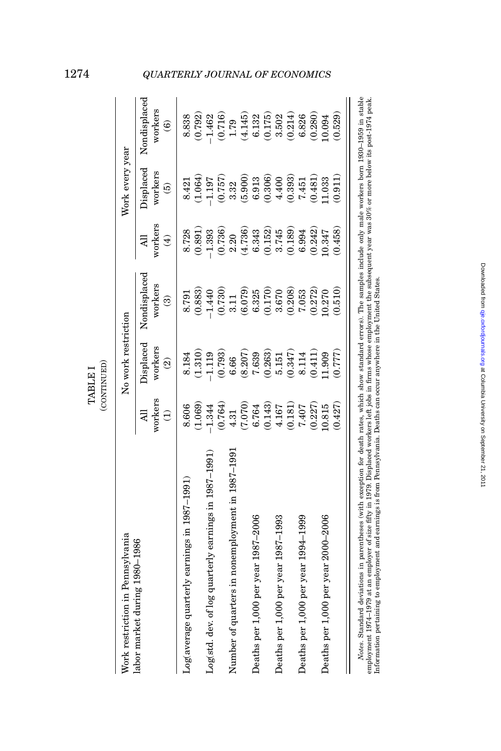| Work restriction in Pennsylvania                      |                   | No work restriction                              |                                                    |                             | Work every year                       |                                                                    |
|-------------------------------------------------------|-------------------|--------------------------------------------------|----------------------------------------------------|-----------------------------|---------------------------------------|--------------------------------------------------------------------|
| labor market during 1980–1986                         | workers<br>티<br>Э | Displaced<br>workers<br>$\widehat{\mathfrak{D}}$ | Nondisplaced<br>workers<br>$\widehat{\mathcal{C}}$ | workers<br>$\bigoplus$<br>티 | Displaced<br>workers<br>$\widehat{e}$ | Nondisplaced<br>workers<br>$\widehat{\mathbf{e}}$                  |
| Log(average quarterly earnings in 1987–1991)          | 8.606             | 8.184                                            | 8.791                                              | 8.728                       | 8.421                                 | 8.838                                                              |
|                                                       | (1.069)           | (1.310)                                          | (0.883)                                            | (0.891)                     | (1.064)                               | 0.792)                                                             |
| Log(std. dev. of log quarterly earnings in 1987–1991) | $-1.344$          | $-1.119$                                         | 1.440                                              | $-1.393$                    | $1.197\,$                             | 1.462                                                              |
|                                                       | (0.764)           | (0.793)                                          | (0.730)                                            | (0.736)                     | (0.757)                               | 0.716                                                              |
| Number of quarters in nonemployment in 1987–1991      | 4.31              | 6.66                                             | 3.11                                               | 2.20                        | 3.32                                  |                                                                    |
|                                                       | (7.070)           | (8.207)                                          | (6.079)                                            | (4.736)                     | (5.900)                               |                                                                    |
| Deaths per 1,000 per year 1987-2006                   | 6.764             | 7.639                                            | 6.325                                              | 6.343                       | 6.913                                 |                                                                    |
|                                                       | (0.143)           | (0.263)                                          | (0.170)                                            | (0.152)                     | (0.306)                               | $\begin{array}{c} 1.79 \\ (4.145) \\ 6.132 \\ (0.175) \end{array}$ |
| Deaths per 1,000 per year 1987-1993                   | 4.167             | 5.151                                            | 3.670                                              | 3.745                       | 4.400                                 | 3.502                                                              |
|                                                       | (0.181)           | (0.347)                                          | (0.208)                                            | (0.189)                     | (0.393)                               | (0.214)                                                            |
| Deaths per 1,000 per year 1994–1999                   | 7.407             | 8.114                                            | 7.053                                              | 6.994                       | 7451                                  | 6.826                                                              |
|                                                       | (0.227)           | (0.411)                                          | (0.272)                                            | (0.242)                     | (0.481)                               | (0.280)                                                            |
| Deaths per 1,000 per year 2000-2006                   | 10.815            | 1.909                                            | 10.270                                             | 10.347                      | 1.033                                 | 10.094                                                             |
|                                                       | (0.427)           | (0.777)                                          | (0.510)                                            | (0.458)                     | (0.911)                               | (0.529)                                                            |

*Notes*. Standard deviations in parentheses (with exception for death rates, which show standard errors). The samples include only male workers born 1930–1959 in stable Aozes. Standard deviations in parentneses (with exception for death rates, which show standard errors). The samples include only male workers born 1930–1959 in stable<br>emphasion pertaining to employment and earnings is from employment 1974–1979 at an employer of size fifty in 1979. Displaced workers left jobs in firms whose employment the subsequent year was 30% or more below its post-1974 peak. Information pertaining to employment and earnings is from Pennsylvania. Deaths can occur anywhere in the United States.

# 1274 *QUARTERLY JOURNAL OF ECONOMICS*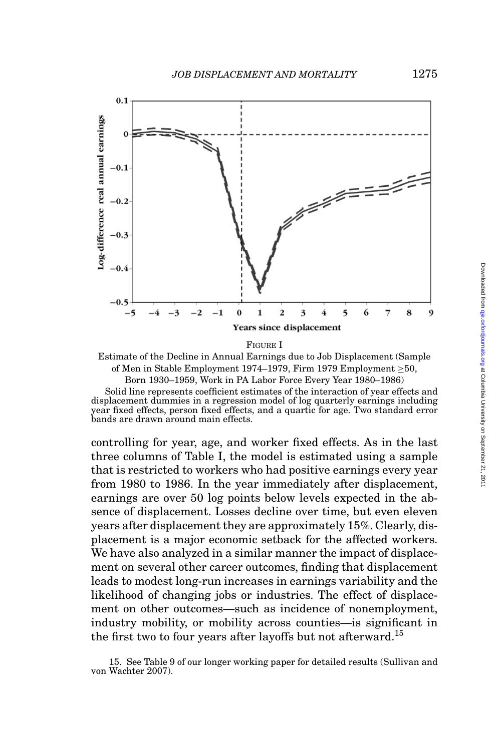

FIGURE I

Estimate of the Decline in Annual Earnings due to Job Displacement (Sample of Men in Stable Employment 1974–1979, Firm 1979 Employment ≥50, Born 1930–1959, Work in PA Labor Force Every Year 1980–1986)

Solid line represents coefficient estimates of the interaction of year effects and displacement dummies in a regression model of log quarterly earnings including year fixed effects, person fixed effects, and a quartic for age. Two standard error bands are drawn around main effects.

controlling for year, age, and worker fixed effects. As in the last three columns of Table I, the model is estimated using a sample that is restricted to workers who had positive earnings every year from 1980 to 1986. In the year immediately after displacement, earnings are over 50 log points below levels expected in the absence of displacement. Losses decline over time, but even eleven years after displacement they are approximately 15%. Clearly, displacement is a major economic setback for the affected workers. We have also analyzed in a similar manner the impact of displacement on several other career outcomes, finding that displacement leads to modest long-run increases in earnings variability and the likelihood of changing jobs or industries. The effect of displacement on other outcomes—such as incidence of nonemployment, industry mobility, or mobility across counties—is significant in the first two to four years after layoffs but not afterward.<sup>15</sup>

<sup>15.</sup> See Table 9 of our longer working paper for detailed results (Sullivan and von Wachter 2007).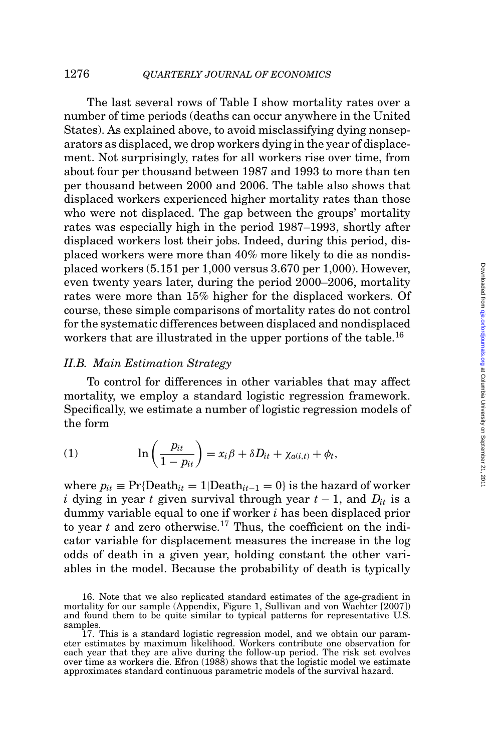The last several rows of Table I show mortality rates over a number of time periods (deaths can occur anywhere in the United States). As explained above, to avoid misclassifying dying nonseparators as displaced, we drop workers dying in the year of displacement. Not surprisingly, rates for all workers rise over time, from about four per thousand between 1987 and 1993 to more than ten per thousand between 2000 and 2006. The table also shows that displaced workers experienced higher mortality rates than those who were not displaced. The gap between the groups' mortality rates was especially high in the period 1987–1993, shortly after displaced workers lost their jobs. Indeed, during this period, displaced workers were more than 40% more likely to die as nondisplaced workers (5.151 per 1,000 versus 3.670 per 1,000). However, even twenty years later, during the period 2000–2006, mortality rates were more than 15% higher for the displaced workers. Of course, these simple comparisons of mortality rates do not control for the systematic differences between displaced and nondisplaced workers that are illustrated in the upper portions of the table.<sup>16</sup>

### *II.B. Main Estimation Strategy*

To control for differences in other variables that may affect mortality, we employ a standard logistic regression framework. Specifically, we estimate a number of logistic regression models of the form

(1) 
$$
\ln\left(\frac{p_{it}}{1-p_{it}}\right)=x_i\beta+\delta D_{it}+\chi_{a(i,t)}+\phi_t,
$$

where  $p_{it} \equiv Pr{Death}_{it} = 1| Death_{it-1} = 0$ } is the hazard of worker *i* dying in year *t* given survival through year  $t - 1$ , and  $D_{it}$  is a dummy variable equal to one if worker *i* has been displaced prior to year *t* and zero otherwise.<sup>17</sup> Thus, the coefficient on the indicator variable for displacement measures the increase in the log odds of death in a given year, holding constant the other variables in the model. Because the probability of death is typically

<sup>16.</sup> Note that we also replicated standard estimates of the age-gradient in mortality for our sample (Appendix, Figure 1, Sullivan and von Wachter [2007]) and found them to be quite similar to typical patterns for representative U.S. samples.

<sup>17.</sup> This is a standard logistic regression model, and we obtain our parameter estimates by maximum likelihood. Workers contribute one observation for each year that they are alive during the follow-up period. The risk set evolves over time as workers die. Efron (1988) shows that the logistic model we estimate approximates standard continuous parametric models of the survival hazard.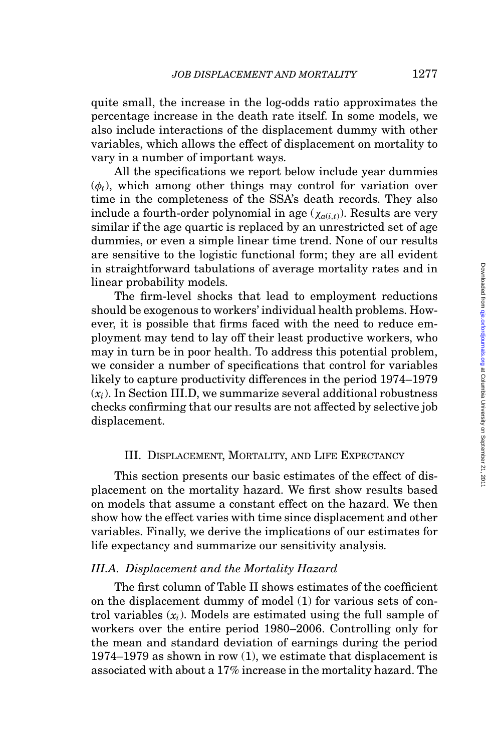quite small, the increase in the log-odds ratio approximates the percentage increase in the death rate itself. In some models, we also include interactions of the displacement dummy with other variables, which allows the effect of displacement on mortality to vary in a number of important ways.

All the specifications we report below include year dummies  $(\phi_t)$ , which among other things may control for variation over time in the completeness of the SSA's death records. They also include a fourth-order polynomial in age  $(\chi_{a(i,t)})$ . Results are very similar if the age quartic is replaced by an unrestricted set of age dummies, or even a simple linear time trend. None of our results are sensitive to the logistic functional form; they are all evident in straightforward tabulations of average mortality rates and in linear probability models.

The firm-level shocks that lead to employment reductions should be exogenous to workers' individual health problems. However, it is possible that firms faced with the need to reduce employment may tend to lay off their least productive workers, who may in turn be in poor health. To address this potential problem, we consider a number of specifications that control for variables likely to capture productivity differences in the period 1974–1979  $(x_i)$ . In Section III.D, we summarize several additional robustness checks confirming that our results are not affected by selective job displacement.

### III. DISPLACEMENT, MORTALITY, AND LIFE EXPECTANCY

This section presents our basic estimates of the effect of displacement on the mortality hazard. We first show results based on models that assume a constant effect on the hazard. We then show how the effect varies with time since displacement and other variables. Finally, we derive the implications of our estimates for life expectancy and summarize our sensitivity analysis.

### *III.A. Displacement and the Mortality Hazard*

The first column of Table II shows estimates of the coefficient on the displacement dummy of model (1) for various sets of control variables  $(x_i)$ . Models are estimated using the full sample of workers over the entire period 1980–2006. Controlling only for the mean and standard deviation of earnings during the period 1974–1979 as shown in row (1), we estimate that displacement is associated with about a 17% increase in the mortality hazard. The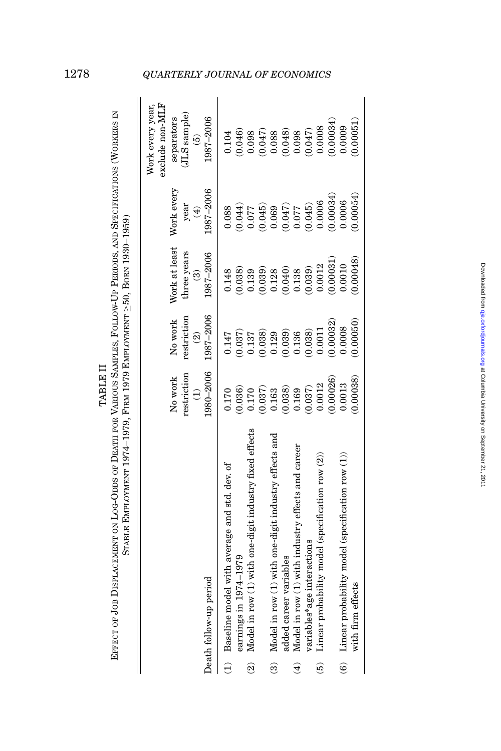|                          | EFFECT OF JOB DISPLACEMENT ON LOG-ODDS OF DEATH FOR VARIOUS SAMPLES, FOLLOW-UP PERIODS, AND SPECIFICATIONS (WORKERS IN<br>STABLE EMPLOYMENT 1974–1979, FIRM 1979 EMPLOYMENT ≥50, BORN 1930–1959) |                            |                                       |                                     |                          |                                     |
|--------------------------|--------------------------------------------------------------------------------------------------------------------------------------------------------------------------------------------------|----------------------------|---------------------------------------|-------------------------------------|--------------------------|-------------------------------------|
|                          |                                                                                                                                                                                                  |                            |                                       |                                     |                          | exclude non-MLF<br>Work every year, |
|                          |                                                                                                                                                                                                  | No work                    | No work                               | Work at least                       | Work every               | separators                          |
|                          |                                                                                                                                                                                                  | restriction                | restriction                           | three years                         | year                     | (JLS sample)                        |
|                          | Death follow-up period                                                                                                                                                                           | 1980-2006<br>$\widehat{E}$ | 1987-2006<br>$\widehat{\mathfrak{D}}$ | 1987-2006<br>$\widehat{\mathbf{e}}$ | 1987-2006<br>$\bigoplus$ | 1987-2006<br>$\widehat{e}$          |
|                          | (1) Baseline model with average and std. dev. of                                                                                                                                                 | 0.170                      | 0.147                                 | 0.148                               | 0.088                    | 0.104                               |
|                          | earnings in 1974-1979                                                                                                                                                                            | (0.036)                    | (0.037)                               | (0.038)                             | (0.044)                  | (0.046)                             |
| $\widehat{\mathfrak{D}}$ | Model in row (1) with one-digit industry fixed effects                                                                                                                                           | 0.170                      | 0.137                                 | 0.139                               | 0.077                    | 0.098                               |
|                          |                                                                                                                                                                                                  | (0.037)                    | (0.038)                               | (0.039)                             | 0.045)                   | (0.047)                             |
| ම                        | Model in row (1) with one-digit industry effects and                                                                                                                                             | 0.163                      | 0.129                                 | 0.128                               | 0.069                    | 0.088                               |
|                          | added career variables                                                                                                                                                                           | (0.038)                    | (0.039)                               | (0.040)                             | (0.047)                  | (0.048)                             |
| $\widehat{E}$            | Model in row (1) with industry effects and career                                                                                                                                                | 0.169                      | 0.136                                 | 0.138                               | 0.077                    | 0.098                               |
|                          | variables*age interactions                                                                                                                                                                       | (0.037)                    | (0.038)                               | 0.039)                              | (0.045)                  | (0.047)                             |
| $\widehat{\mathbf{e}}$   | Linear probability model (specification row (2))                                                                                                                                                 | 0.0012                     | 0.0011                                | 0.0012                              | 0.0006                   | 0.0008                              |
|                          |                                                                                                                                                                                                  | (0.00026)                  | 0.00032                               | 0.00031                             | 0.00034)                 | 0.00034)                            |
| $\widehat{\mathbf{e}}$   | Linear probability model (specification row (1))                                                                                                                                                 | 0.0013                     | 0.0008                                | 0.0010                              | 0.0006                   | 0.0009                              |
|                          | with firm effects                                                                                                                                                                                | (0.00038)                  | (0.00050)                             | (0.00048)                           | 0.00054                  | 0.00051                             |
|                          |                                                                                                                                                                                                  |                            |                                       |                                     |                          |                                     |

| ۰      |  |
|--------|--|
|        |  |
| ٦<br>٠ |  |
|        |  |

1278 *QUARTERLY JOURNAL OF ECONOMICS*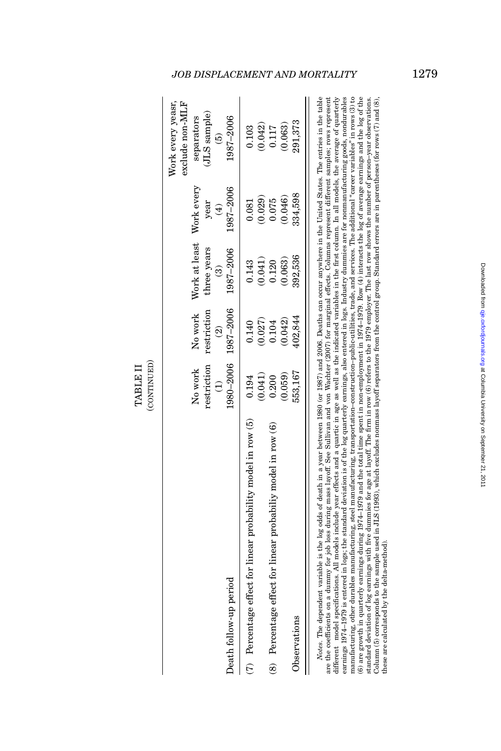|                                                                                                                                                                                                                                                                                                                                                                                                                                                                                                                                                                                                                                                                                                                                                                                                                                                                                                                                                                                                                                                                                                                                                                                                                                                                                                                                                                                                                                                                                                                                                                                | (CONTINUED)<br>TABLE II             |                                                                 |                                                                                |                                  |                                                                                                  |
|--------------------------------------------------------------------------------------------------------------------------------------------------------------------------------------------------------------------------------------------------------------------------------------------------------------------------------------------------------------------------------------------------------------------------------------------------------------------------------------------------------------------------------------------------------------------------------------------------------------------------------------------------------------------------------------------------------------------------------------------------------------------------------------------------------------------------------------------------------------------------------------------------------------------------------------------------------------------------------------------------------------------------------------------------------------------------------------------------------------------------------------------------------------------------------------------------------------------------------------------------------------------------------------------------------------------------------------------------------------------------------------------------------------------------------------------------------------------------------------------------------------------------------------------------------------------------------|-------------------------------------|-----------------------------------------------------------------|--------------------------------------------------------------------------------|----------------------------------|--------------------------------------------------------------------------------------------------|
| Death follow-up period                                                                                                                                                                                                                                                                                                                                                                                                                                                                                                                                                                                                                                                                                                                                                                                                                                                                                                                                                                                                                                                                                                                                                                                                                                                                                                                                                                                                                                                                                                                                                         | restriction<br>1980-2006<br>No work | 1987-2006<br>restriction<br>No work<br>$\widehat{\mathfrak{D}}$ | Work at least Work every<br>three years<br>1987-2006<br>$\widehat{\mathbf{e}}$ | 1987-2006<br>year<br>$\bigoplus$ | Work every yeasr,<br>exclude non-MLF<br>(JLS sample)<br>separators<br>1987-2006<br>$\widehat{e}$ |
| $(7)$ Percentage effect for linear probability model in row $(5)$                                                                                                                                                                                                                                                                                                                                                                                                                                                                                                                                                                                                                                                                                                                                                                                                                                                                                                                                                                                                                                                                                                                                                                                                                                                                                                                                                                                                                                                                                                              | (140, 0.01)<br>0.194                | (0.027)<br>0.140                                                | (0.041)<br>0.143                                                               | (0.029)<br>0.081                 | (0.042)<br>0.103                                                                                 |
| (8) Percentage effect for linear probabiliy model in row (6)                                                                                                                                                                                                                                                                                                                                                                                                                                                                                                                                                                                                                                                                                                                                                                                                                                                                                                                                                                                                                                                                                                                                                                                                                                                                                                                                                                                                                                                                                                                   | (0.059)<br>0.200                    | (0.042)<br>0.104                                                | (0.063)<br>0.120                                                               | (0.046)<br>0.075                 | (0.063)<br>0.117                                                                                 |
| Observations                                                                                                                                                                                                                                                                                                                                                                                                                                                                                                                                                                                                                                                                                                                                                                                                                                                                                                                                                                                                                                                                                                                                                                                                                                                                                                                                                                                                                                                                                                                                                                   | 553,167                             | 402,844                                                         | 392,536                                                                        | 334,598                          | 291,373                                                                                          |
| <i>Notes</i> . The dependent variable is the log odds of death in a year between 1980 (or 1987) and 2006. Deaths can occur anywhere in the United States. The entries in the table<br>different model specifications. All models include year effects and a quartic in age as well as the indicated variables in the first column. In all models, the average of quarterly<br>(6) are growth in quarterly earnings during 1974–1979 and the total time spent in non-employment in 1974–1979. Row (4) interacts the log of average earnings and the log of the<br>earnings 1974–1979 is entered in logs; the standard deviation is of the log quarterly earnings, also entered in logs. Industry dummies are for nonmanufacturing goods, nondurables<br>manufacturing, other durables manufacturing, steel manufacturing, transportation-construction-public-utilities, trade, and services. The additional "career variables" in rows (3) to<br>are the coefficients on a dummy for job loss during mass layoff. See Sullivan and von Wachter (2007) for marginal effects. Columns represent different samples; rows represent<br>standard deviation of log earnings with five dummies for age at layoff. The firm in row (6) refers to the 1979 employer. The last row shows the number of person-year observations.<br>$\mathrm{Column}\left(5\right)$ corresponds to the sample used in JLS (1993), which excludes nonmass layoff separators from the control group. Standard errors are in parentheses (for rows (7) and (8),<br>these are calculated by the delta-method, |                                     |                                                                 |                                                                                |                                  |                                                                                                  |

# *JOB DISPLACEMENT AND MORTALITY* 1279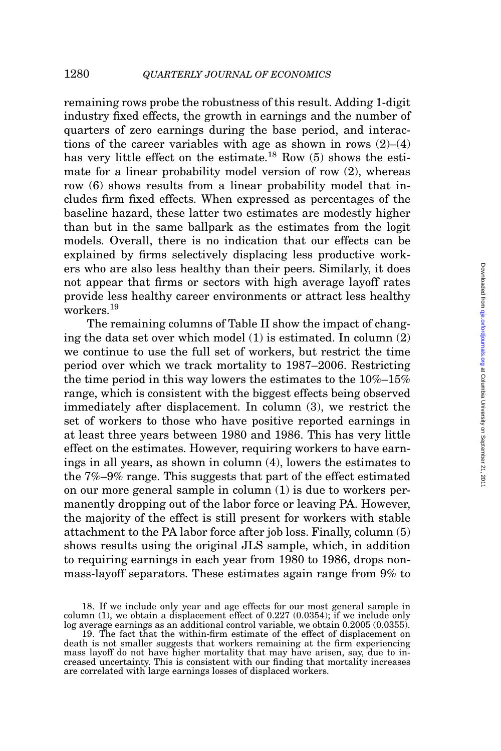remaining rows probe the robustness of this result. Adding 1-digit industry fixed effects, the growth in earnings and the number of quarters of zero earnings during the base period, and interactions of the career variables with age as shown in rows  $(2)$ – $(4)$ has very little effect on the estimate.<sup>18</sup> Row (5) shows the estimate for a linear probability model version of row (2), whereas row (6) shows results from a linear probability model that includes firm fixed effects. When expressed as percentages of the baseline hazard, these latter two estimates are modestly higher than but in the same ballpark as the estimates from the logit models. Overall, there is no indication that our effects can be explained by firms selectively displacing less productive workers who are also less healthy than their peers. Similarly, it does not appear that firms or sectors with high average layoff rates provide less healthy career environments or attract less healthy workers.<sup>19</sup>

The remaining columns of Table II show the impact of changing the data set over which model (1) is estimated. In column (2) we continue to use the full set of workers, but restrict the time period over which we track mortality to 1987–2006. Restricting the time period in this way lowers the estimates to the 10%–15% range, which is consistent with the biggest effects being observed immediately after displacement. In column (3), we restrict the set of workers to those who have positive reported earnings in at least three years between 1980 and 1986. This has very little effect on the estimates. However, requiring workers to have earnings in all years, as shown in column (4), lowers the estimates to the 7%–9% range. This suggests that part of the effect estimated on our more general sample in column (1) is due to workers permanently dropping out of the labor force or leaving PA. However, the majority of the effect is still present for workers with stable attachment to the PA labor force after job loss. Finally, column (5) shows results using the original JLS sample, which, in addition to requiring earnings in each year from 1980 to 1986, drops nonmass-layoff separators. These estimates again range from 9% to

<sup>18.</sup> If we include only year and age effects for our most general sample in column (1), we obtain a displacement effect of 0.227 (0.0354); if we include only log average earnings as an additional control variable, we obtain 0.2005 (0.0355).

<sup>19.</sup> The fact that the within-firm estimate of the effect of displacement on death is not smaller suggests that workers remaining at the firm experiencing mass layoff do not have higher mortality that may have arisen, say, due to increased uncertainty. This is consistent with our finding that mortality increases are correlated with large earnings losses of displaced workers.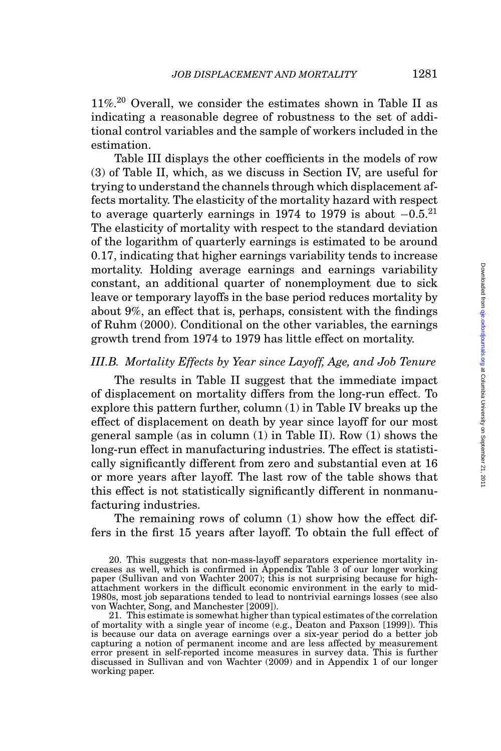11%.<sup>20</sup> Overall, we consider the estimates shown in Table II as indicating a reasonable degree of robustness to the set of additional control variables and the sample of workers included in the estimation.

Table III displays the other coefficients in the models of row (3) of Table II, which, as we discuss in Section IV, are useful for trying to understand the channels through which displacement affects mortality. The elasticity of the mortality hazard with respect to average quarterly earnings in 1974 to 1979 is about  $-0.5^{21}$ The elasticity of mortality with respect to the standard deviation of the logarithm of quarterly earnings is estimated to be around 0.17, indicating that higher earnings variability tends to increase mortality. Holding average earnings and earnings variability constant, an additional quarter of nonemployment due to sick leave or temporary layoffs in the base period reduces mortality by about 9%, an effect that is, perhaps, consistent with the findings of Ruhm (2000). Conditional on the other variables, the earnings growth trend from 1974 to 1979 has little effect on mortality.

### *III.B. Mortality Effects by Year since Layoff, Age, and Job Tenure*

The results in Table II suggest that the immediate impact of displacement on mortality differs from the long-run effect. To explore this pattern further, column (1) in Table IV breaks up the effect of displacement on death by year since layoff for our most general sample (as in column (1) in Table II). Row (1) shows the long-run effect in manufacturing industries. The effect is statistically significantly different from zero and substantial even at 16 or more years after layoff. The last row of the table shows that this effect is not statistically significantly different in nonmanufacturing industries.

The remaining rows of column (1) show how the effect differs in the first 15 years after layoff. To obtain the full effect of

<sup>20.</sup> This suggests that non-mass-layoff separators experience mortality increases as well, which is confirmed in Appendix Table 3 of our longer working paper (Sullivan and von Wachter 2007); this is not surprising because for highattachment workers in the difficult economic environment in the early to mid-1980s, most job separations tended to lead to nontrivial earnings losses (see also von Wachter, Song, and Manchester [2009]).

<sup>21.</sup> This estimate is somewhat higher than typical estimates of the correlation of mortality with a single year of income (e.g., Deaton and Paxson [1999]). This is because our data on average earnings over a six-year period do a better job capturing a notion of permanent income and are less affected by measurement error present in self-reported income measures in survey data. This is further discussed in Sullivan and von Wachter (2009) and in Appendix 1 of our longer working paper.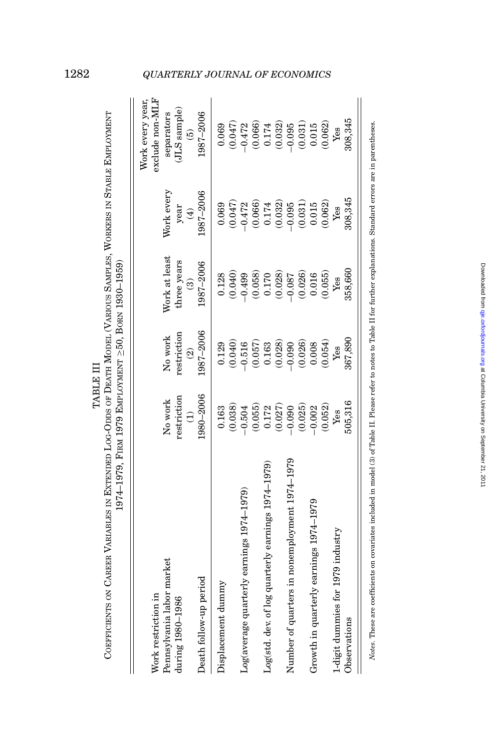| Work restriction in                                |                            |                                       |                                      |                          | exclude non-MLF<br>Work every year, |
|----------------------------------------------------|----------------------------|---------------------------------------|--------------------------------------|--------------------------|-------------------------------------|
| Pennsylvania labor market                          | No work                    | No work                               | Work at least                        | Work every               | separators                          |
| during 1980–1986                                   | restriction                | restriction                           | three years                          | year                     | (JLS sample)                        |
| Death follow-up period                             | 1980-2006<br>$\widehat{E}$ | 1987-2006<br>$\widehat{\mathfrak{D}}$ | 1987-2006<br>$\widehat{\mathcal{C}}$ | 1987-2006<br>$\bigoplus$ | 1987-2006<br>$\widehat{e}$          |
| Displacement dummy                                 | 0.163                      | 0.129                                 | 0.128                                | 0.069                    | 0.069                               |
|                                                    | (0.038)                    | (0.040)                               | (0.040)                              | (0.047)                  | (0.047)                             |
| Log(average quarterly earnings 1974–1979)          | $-0.504$                   | $-0.516$                              | $-0.499$                             | $-0.472$                 | $-0.472$                            |
|                                                    | (0.055)                    | (0.057)                               | (0.058)                              | (0.066)                  | (0.066)                             |
| Log(std. dev. of log quarterly earnings 1974–1979) | 0.172                      | 0.163                                 | 0.170                                | 0.174                    | 0.174                               |
|                                                    | (0.027)                    | (0.028)                               | (0.028)                              | (0.032)                  | (0.032)                             |
| Number of quarters in nonemployment 1974–1979      | $-0.090$                   | $-0.090$                              | $-0.087$                             | $-0.095$                 | $-0.095$                            |
|                                                    | (0.025)                    | 0.026                                 | (0.026)                              | (0.031)                  | (0.031)                             |
| Growth in quarterly earnings 1974–1979             | $-0.002$                   | 0.008                                 | 0.016                                | 0.015                    | 0.015                               |
|                                                    | (0.052)                    | (0.054)                               | (0.055)                              | (0.062)                  | (0.062)                             |
| 1-digit dummies for 1979 industry                  | Yes                        | Yes                                   | Yes                                  | Yes                      | Yes                                 |
| Observations                                       | 505,316                    | 367,890                               | 358,660                              | 308,345                  | 308,345                             |

TABLE III

TABLE III

# 1282 *QUARTERLY JOURNAL OF ECONOMICS*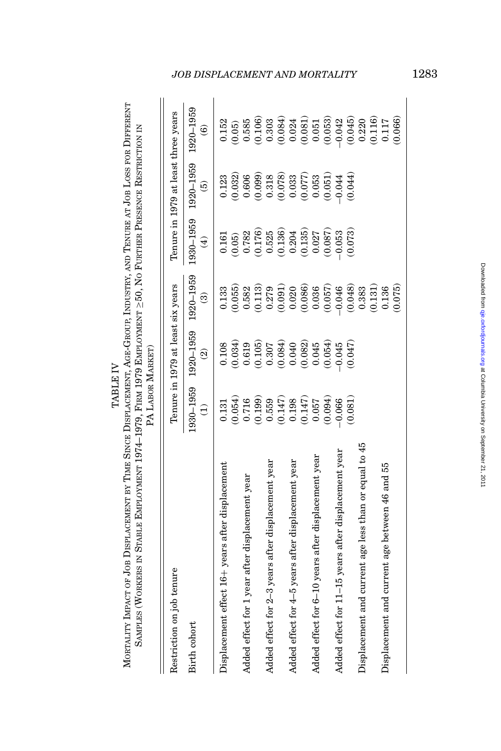MORTALITY IMPACT OF JOB DISPLACEMENT BY TIME SINCE DISPLACEMENT, AGE-GROUP, INDUSTRY, AND TENURE AT JOB LOSS FOR DIFFERENT MORTALITY IMPACT OF JOB DISPLACEMENT BY TIME SINCE DISPLACEMENT, AGE-GROUP, INDUSTRY, AND TENURE AT JOB LOSS FOR DIFFERENT SAMPLES (WORKERS IN STABLE EMPLOYMENT 1974–1979, FIRM 1979 EMPLOYMENT >50, NO FURTHER PRESENCE RESTRICTION IN SAMPLES (WORKERS IN STABLE EMPLOYMENT 1974–1979, FIRM 1979 EMPLOYMENT ≥50, NO FURTHER PRESENCE RESTRICTION IN TABLE  $\rm IV$ TABLE IV

|                                                       | PA LABOR MARKET)                              |                                       |                                     |                          |                                     |                                                                                         |
|-------------------------------------------------------|-----------------------------------------------|---------------------------------------|-------------------------------------|--------------------------|-------------------------------------|-----------------------------------------------------------------------------------------|
| Restriction on job tenure                             |                                               | Tenure in 1979 at least six years     |                                     |                          | Tenure in 1979 at least three years |                                                                                         |
| Birth cohort                                          | 1930-1959<br>E)                               | 1920-1959<br>$\widehat{\mathfrak{A}}$ | 1920-1959<br>$\widehat{\mathbf{e}}$ | 1930-1959<br>$\bigoplus$ | 1920-1959<br>$\widehat{e}$          | 1920-1959<br>$\widehat{\mathbf{e}}$                                                     |
| Displacement effect 16+ years after displacement      | 0.131                                         | 0.108                                 | 0.133                               | 0.161                    | 0.123                               | 0.152                                                                                   |
|                                                       | (0.054)                                       | (0.034)                               | (0.055)                             | (0.05)                   | (0.032)                             | (0.05)                                                                                  |
| Added effect for 1 year after displacement year       | 0.716                                         | 0.619                                 | 0.582                               | 0.782                    | 0.606                               | 0.585                                                                                   |
|                                                       | (0.199)                                       | (0.105)                               | (0.113)                             | (0.176)                  | 0.099)                              | (0.106)                                                                                 |
| Added effect for 2-3 years after displacement year    | 0.559                                         | 0.307                                 | 0.279                               | 0.525                    | 0.318                               | 0.303                                                                                   |
|                                                       | (0.147)                                       | (0.084)                               | (160.0)                             | (0.136)                  | (0.078)                             |                                                                                         |
| Added effect for 4-5 years after displacement year    |                                               | 0.040                                 | 0.020                               | 0.204                    | 0.033                               |                                                                                         |
|                                                       | $\begin{array}{c} 0.198 \\ 0.147 \end{array}$ | (0.082)                               | (0.086)                             | (0.135)                  | (0.077)                             |                                                                                         |
| Added effect for 6-10 years after displacement year   | 0.057                                         | 0.045                                 | 0.036                               | 0.027                    | 0.053                               | $\begin{array}{c} (0.084) \\ 0.024 \\ 0.081) \\ 0.051 \\ 0.053 \\ 0.042 \\ \end{array}$ |
|                                                       | (994)                                         | (0.054)                               | $(0.057)$<br>$-0.046$               | (0.087)                  | (0.051)                             |                                                                                         |
| Added effect for 11-15 years after displacement year  | $-0.066$                                      | 0.045                                 |                                     | $-0.053$                 | 0.044                               |                                                                                         |
|                                                       | (0.081)                                       | (0.047)                               | (0.048)                             | (0.073)                  | (0.044)                             | (0.045)                                                                                 |
| Displacement and current age less than or equal to 45 |                                               |                                       | 0.383                               |                          |                                     | 0.220                                                                                   |
|                                                       |                                               |                                       | (0.131)                             |                          |                                     | (0.116)                                                                                 |
| Displacement and current age between 46 and 55        |                                               |                                       | 0.136                               |                          |                                     | 0.117                                                                                   |
|                                                       |                                               |                                       | (0.075)                             |                          |                                     | (0.066)                                                                                 |

# *JOB DISPLACEMENT AND MORTALITY* 1283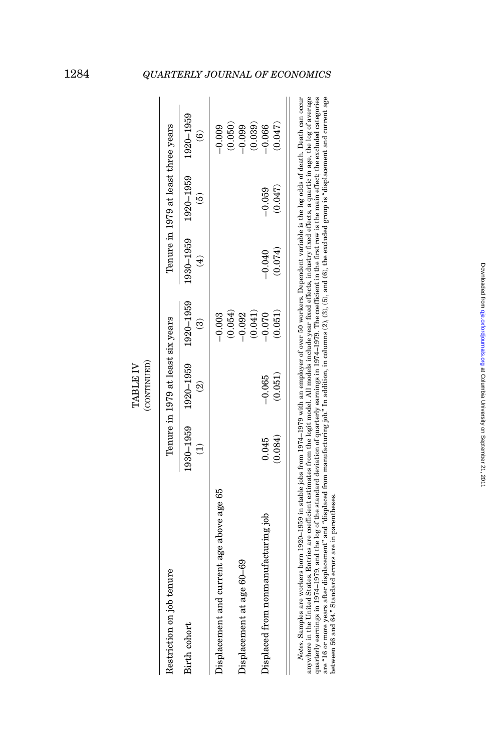|                                                                                                                                                                           |                                     | (CONTINUED)<br>TABLE IV           |                                     |                          |                                     |                                  |
|---------------------------------------------------------------------------------------------------------------------------------------------------------------------------|-------------------------------------|-----------------------------------|-------------------------------------|--------------------------|-------------------------------------|----------------------------------|
| Restriction on job tenure                                                                                                                                                 |                                     | Tenure in 1979 at least six years |                                     |                          | Tenure in 1979 at least three years |                                  |
| Birth cohort                                                                                                                                                              | 1930-1959<br>$\widehat{\mathbf{d}}$ | 1920-1959<br>$\widehat{2}$        | 1920-1959<br>$\widehat{\mathbf{e}}$ | 1930-1959<br>$\bigoplus$ | 1920-1959<br>$\widehat{e}$          | 1920-1959<br>$\ddot{\mathbf{e}}$ |
| Displacement and current age above age 65                                                                                                                                 |                                     |                                   | (0.054)<br>$-0.003$                 |                          |                                     | $-0.009$                         |
| Displacement at age 60–69                                                                                                                                                 |                                     |                                   | (0.041)<br>$-0.092$                 |                          |                                     | $(0.050)$<br>$-0.099$<br>(0.039) |
| Displaced from nonmanufacturing job                                                                                                                                       | (0.084)<br>0.045                    | (0.051)<br>$-0.065$               | (0.051)<br>$-0.070$                 | (0.074)<br>$-0.040$      | (0.047)<br>$-0.059$                 | (0.047)<br>$-0.066$              |
| Notes. Samples are workers born 1920–1959 in stable iobs from 1974–1979 with an employer of over 50 workers. Dependent variable is the log odds of death. Death can occur |                                     |                                   |                                     |                          |                                     |                                  |

Restriction on job tenure Tenure in 1979 at least six years Tenure in 1979 at least three years Birth cohort 1930–1959 1920–1959 1920–1959 1930–1959 1920–1959 1920–1959 (1) (2) (3) (4) (5) (6) Displacement and current age above age 65 −0.003 −0.009 (0.054) (0.050) Displacement at age 60–69 −0.092 −0.099 (0.041) (0.039) Displaced from nonmanufacturing job 0.045 −0.065 −0.070 −0.040 −0.059 −0.066 (0.084) (0.051) (0.051) (0.074) (0.047) (0.047) *Notes*. Samples are workers born 1920–1959 in stable jobs from 1974–1979 with an employer of over 50 workers. Dependent variable is the log odds of death. Death can occur anywhere in the United States. Entries are coefficient estimates from the logit model. All models include year fixed effects, industry fixed effects, a quartic in age, the log of average quarterly earnings in 1974–1979, and the log of the standard deviation of quarterly earnings in 1974–1979. The coefficient in the first row is the main effect; the excluded categories are "16 or more years after displacement" and "displaced from manufacturing job." In addition, in columns (2), (3), (5), and (6), the excluded group is "displacement and current age between 56 and 64." Standard errors are in parentheses.

# 1284 *QUARTERLY JOURNAL OF ECONOMICS*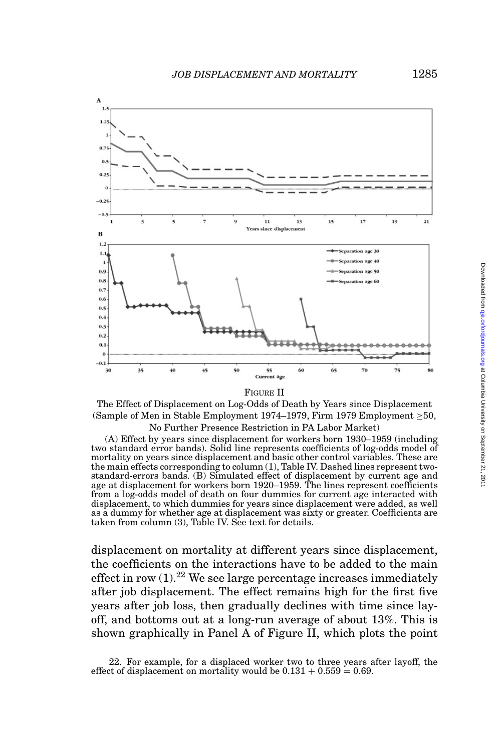

### FIGURE II

The Effect of Displacement on Log-Odds of Death by Years since Displacement (Sample of Men in Stable Employment 1974–1979, Firm 1979 Employment ≥50, No Further Presence Restriction in PA Labor Market)

(A) Effect by years since displacement for workers born 1930–1959 (including two standard error bands). Solid line represents coefficients of log-odds model of mortality on years since displacement and basic other control variables. These are the main effects corresponding to column (1), Table IV. Dashed lines represent twostandard-errors bands. (B) Simulated effect of displacement by current age and age at displacement for workers born 1920–1959. The lines represent coefficients from a log-odds model of death on four dummies for current age interacted with displacement, to which dummies for years since displacement were added, as well as a dummy for whether age at displacement was sixty or greater. Coefficients are taken from column (3), Table IV. See text for details.

displacement on mortality at different years since displacement, the coefficients on the interactions have to be added to the main effect in row  $(1)$ <sup>22</sup> We see large percentage increases immediately after job displacement. The effect remains high for the first five years after job loss, then gradually declines with time since layoff, and bottoms out at a long-run average of about 13%. This is shown graphically in Panel A of Figure II, which plots the point

22. For example, for a displaced worker two to three years after layoff, the effect of displacement on mortality would be  $0.131 + 0.559 = 0.69$ .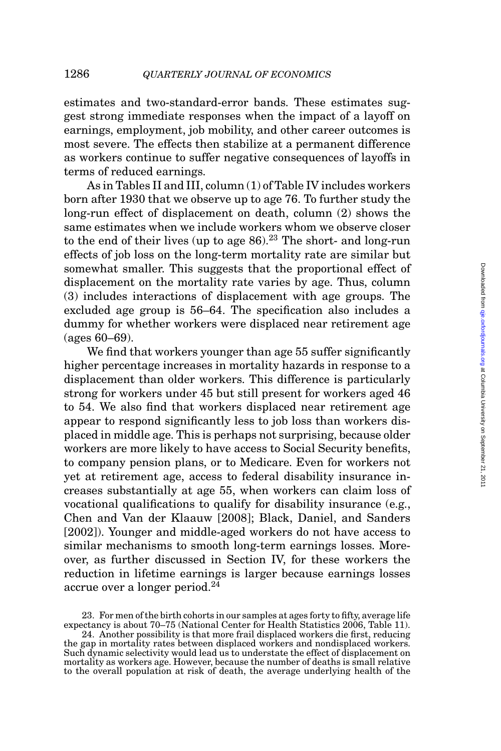estimates and two-standard-error bands. These estimates suggest strong immediate responses when the impact of a layoff on earnings, employment, job mobility, and other career outcomes is most severe. The effects then stabilize at a permanent difference as workers continue to suffer negative consequences of layoffs in terms of reduced earnings.

As in Tables II and III, column (1) of Table IV includes workers born after 1930 that we observe up to age 76. To further study the long-run effect of displacement on death, column (2) shows the same estimates when we include workers whom we observe closer to the end of their lives (up to age  $86$ ).<sup>23</sup> The short- and long-run effects of job loss on the long-term mortality rate are similar but somewhat smaller. This suggests that the proportional effect of displacement on the mortality rate varies by age. Thus, column (3) includes interactions of displacement with age groups. The excluded age group is 56–64. The specification also includes a dummy for whether workers were displaced near retirement age (ages 60–69).

We find that workers younger than age 55 suffer significantly higher percentage increases in mortality hazards in response to a displacement than older workers. This difference is particularly strong for workers under 45 but still present for workers aged 46 to 54. We also find that workers displaced near retirement age appear to respond significantly less to job loss than workers displaced in middle age. This is perhaps not surprising, because older workers are more likely to have access to Social Security benefits, to company pension plans, or to Medicare. Even for workers not yet at retirement age, access to federal disability insurance increases substantially at age 55, when workers can claim loss of vocational qualifications to qualify for disability insurance (e.g., Chen and Van der Klaauw [2008]; Black, Daniel, and Sanders [2002]). Younger and middle-aged workers do not have access to similar mechanisms to smooth long-term earnings losses. Moreover, as further discussed in Section IV, for these workers the reduction in lifetime earnings is larger because earnings losses accrue over a longer period.24

<sup>23.</sup> For men of the birth cohorts in our samples at ages forty to fifty, average life expectancy is about 70–75 (National Center for Health Statistics 2006, Table 11).

<sup>24.</sup> Another possibility is that more frail displaced workers die first, reducing the gap in mortality rates between displaced workers and nondisplaced workers. Such dynamic selectivity would lead us to understate the effect of displacement on mortality as workers age. However, because the number of deaths is small relative to the overall population at risk of death, the average underlying health of the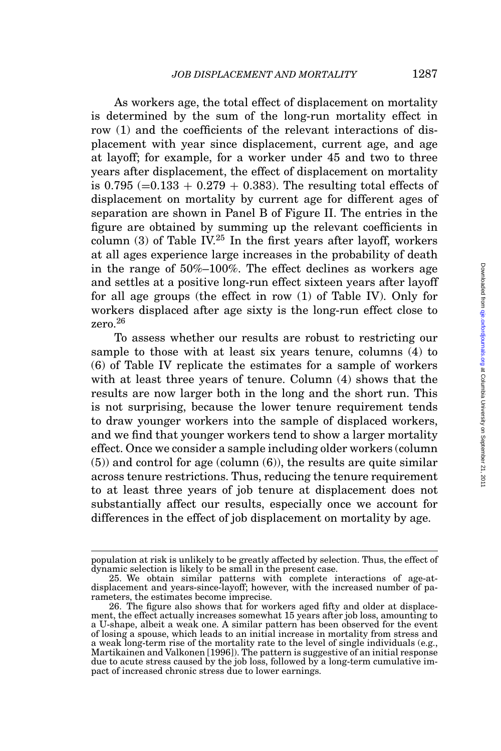As workers age, the total effect of displacement on mortality is determined by the sum of the long-run mortality effect in row (1) and the coefficients of the relevant interactions of displacement with year since displacement, current age, and age at layoff; for example, for a worker under 45 and two to three years after displacement, the effect of displacement on mortality is 0.795 ( $= 0.133 + 0.279 + 0.383$ ). The resulting total effects of displacement on mortality by current age for different ages of separation are shown in Panel B of Figure II. The entries in the figure are obtained by summing up the relevant coefficients in column (3) of Table IV.<sup>25</sup> In the first years after layoff, workers at all ages experience large increases in the probability of death in the range of 50%–100%. The effect declines as workers age and settles at a positive long-run effect sixteen years after layoff for all age groups (the effect in row (1) of Table IV). Only for workers displaced after age sixty is the long-run effect close to zero $26$ 

To assess whether our results are robust to restricting our sample to those with at least six years tenure, columns (4) to (6) of Table IV replicate the estimates for a sample of workers with at least three years of tenure. Column (4) shows that the results are now larger both in the long and the short run. This is not surprising, because the lower tenure requirement tends to draw younger workers into the sample of displaced workers, and we find that younger workers tend to show a larger mortality effect. Once we consider a sample including older workers (column (5)) and control for age (column (6)), the results are quite similar across tenure restrictions. Thus, reducing the tenure requirement to at least three years of job tenure at displacement does not substantially affect our results, especially once we account for differences in the effect of job displacement on mortality by age.

population at risk is unlikely to be greatly affected by selection. Thus, the effect of dynamic selection is likely to be small in the present case.

<sup>25.</sup> We obtain similar patterns with complete interactions of age-atdisplacement and years-since-layoff; however, with the increased number of parameters, the estimates become imprecise.

<sup>26.</sup> The figure also shows that for workers aged fifty and older at displace-ment, the effect actually increases somewhat 15 years after job loss, amounting to a U-shape, albeit a weak one. A similar pattern has been observed for the event of losing a spouse, which leads to an initial increase in mortality from stress and a weak long-term rise of the mortality rate to the level of single individuals (e.g., Martikainen and Valkonen [1996]). The pattern is suggestive of an initial response due to acute stress caused by the job loss, followed by a long-term cumulative impact of increased chronic stress due to lower earnings.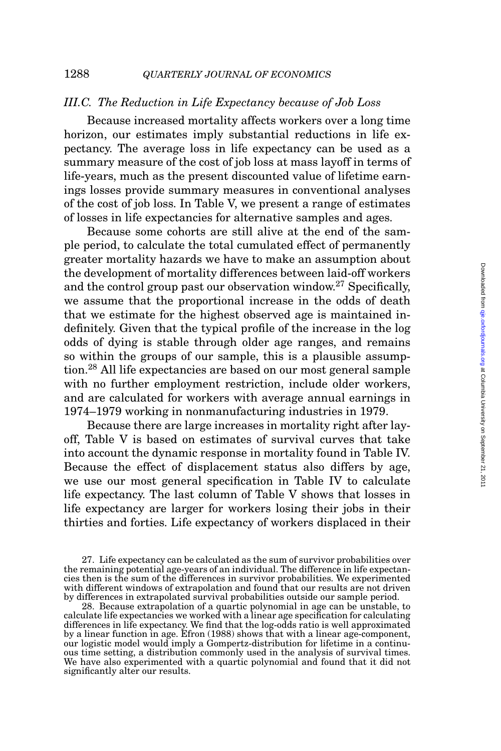### *III.C. The Reduction in Life Expectancy because of Job Loss*

Because increased mortality affects workers over a long time horizon, our estimates imply substantial reductions in life expectancy. The average loss in life expectancy can be used as a summary measure of the cost of job loss at mass layoff in terms of life-years, much as the present discounted value of lifetime earnings losses provide summary measures in conventional analyses of the cost of job loss. In Table V, we present a range of estimates of losses in life expectancies for alternative samples and ages.

Because some cohorts are still alive at the end of the sample period, to calculate the total cumulated effect of permanently greater mortality hazards we have to make an assumption about the development of mortality differences between laid-off workers and the control group past our observation window.27 Specifically, we assume that the proportional increase in the odds of death that we estimate for the highest observed age is maintained indefinitely. Given that the typical profile of the increase in the log odds of dying is stable through older age ranges, and remains so within the groups of our sample, this is a plausible assumption.28 All life expectancies are based on our most general sample with no further employment restriction, include older workers, and are calculated for workers with average annual earnings in 1974–1979 working in nonmanufacturing industries in 1979.

Because there are large increases in mortality right after layoff, Table V is based on estimates of survival curves that take into account the dynamic response in mortality found in Table IV. Because the effect of displacement status also differs by age, we use our most general specification in Table IV to calculate life expectancy. The last column of Table V shows that losses in life expectancy are larger for workers losing their jobs in their thirties and forties. Life expectancy of workers displaced in their

<sup>27.</sup> Life expectancy can be calculated as the sum of survivor probabilities over the remaining potential age-years of an individual. The difference in life expectan-cies then is the sum of the differences in survivor probabilities. We experimented with different windows of extrapolation and found that our results are not driven by differences in extrapolated survival probabilities outside our sample period.

<sup>28.</sup> Because extrapolation of a quartic polynomial in age can be unstable, to calculate life expectancies we worked with a linear age specification for calculating differences in life expectancy. We find that the log-odds r our logistic model would imply a Gompertz-distribution for lifetime in a continuous time setting, a distribution commonly used in the analysis of survival times. We have also experimented with a quartic polynomial and found that it did not significantly alter our results.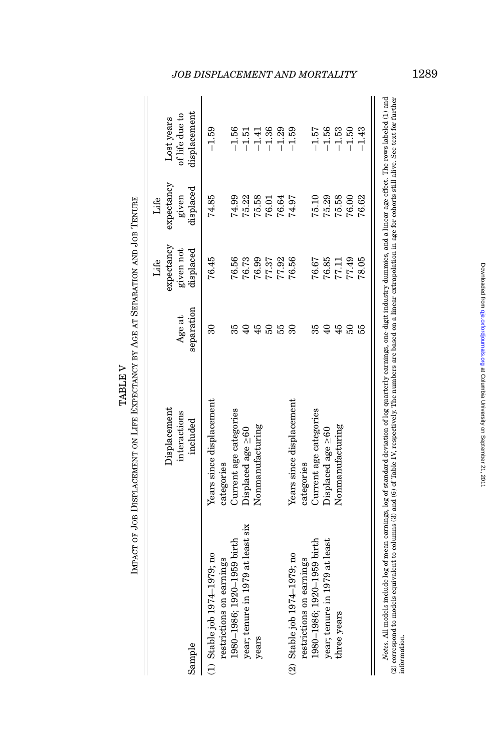| <br> <br> <br> <br> <br>l | l<br>i<br>i<br> <br> <br> <br><b>International Property Property</b><br>-<br>-<br>-<br> <br> <br>֚֕<br>くしこ |
|---------------------------|------------------------------------------------------------------------------------------------------------|
|---------------------------|------------------------------------------------------------------------------------------------------------|

| 1) Stable job 1974–1979; no                                          | interactions<br>included  | separation<br>Age at | expectancy<br>given not<br>displaced<br>Life | expectancy<br>displaced<br>given<br>Life | displacement<br>Lost years of life due to |
|----------------------------------------------------------------------|---------------------------|----------------------|----------------------------------------------|------------------------------------------|-------------------------------------------|
| categories<br>restrictions on earnings                               | Years since displacement  | ೫                    | 76.45                                        | 74.85                                    | $-1.59$                                   |
| 1980–1986: 1920–1959 birth                                           | Jurrent age categories    |                      | 76.56                                        | 74.99                                    | $-1.56$                                   |
| year; tenure in 1979 at least six                                    | Displaced age $\geq 60$   |                      | 76.73                                        | 75.22                                    | $-1.51$                                   |
| years                                                                | Nonmanufacturing          | 45                   |                                              | 75.58                                    | $-1.41$                                   |
|                                                                      |                           |                      | 76.99<br>77.37<br>77.92                      | 76.01                                    | $-1.36$                                   |
|                                                                      |                           | 55                   |                                              | 76.64<br>74.97                           | $-1.29$                                   |
| (2) Stable job 1974-1979; no                                         | Years since displacement  |                      | 76.56                                        |                                          | $-1.59$                                   |
| categories<br>1980–1986: 1920–1959 birth<br>restrictions on earnings | Current age categories    | జ                    | 76.67                                        | 75.10                                    | $-1.57$                                   |
| year; tenure in 1979 at least                                        | $Displaced$ age $\geq 60$ |                      | 76.85                                        | 75.29                                    | $-1.56$                                   |
| three years                                                          | Nonmanufacturing          | 45                   | 77.11                                        | 75.58                                    | $-1.53$                                   |
|                                                                      |                           |                      | 77.49                                        | 76.00                                    | $-1.50$                                   |
|                                                                      |                           | 55                   | 78.05                                        | 76.62                                    | $-1.43$                                   |

# Notes. All models include log of mean earnings, log of standard deviation of log quarterly earnings, one-digit industry dummies, and a linear age effect. The rows labeled (1) and (2) correspond to models included to mean a *Notes*. All models include log of mean earnings, log of standard deviation of log quarterly earnings, one-digit industry dummies, and a linear age effect. The rows labeled (1) and (2) correspond to models equivalent to columns (3) and (6) of Table IV, respectively. The numbers are based on a linear extrapolation in age for cohorts still alive. See text for further information.

# *JOB DISPLACEMENT AND MORTALITY* 1289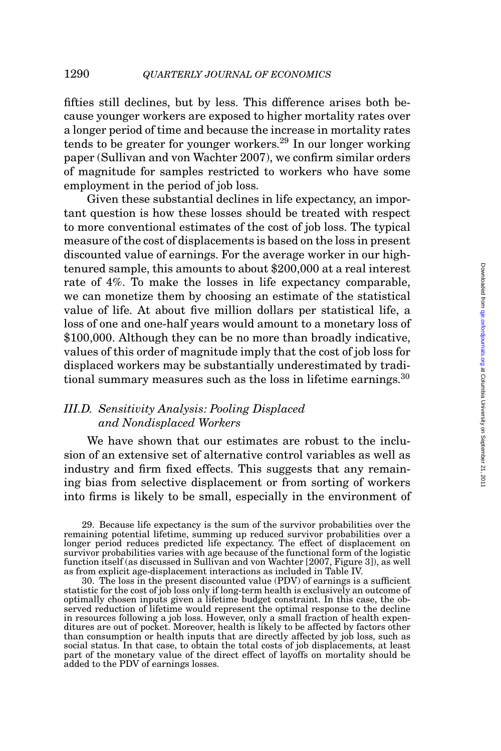fifties still declines, but by less. This difference arises both because younger workers are exposed to higher mortality rates over a longer period of time and because the increase in mortality rates tends to be greater for younger workers.<sup>29</sup> In our longer working paper (Sullivan and von Wachter 2007), we confirm similar orders of magnitude for samples restricted to workers who have some employment in the period of job loss.

Given these substantial declines in life expectancy, an important question is how these losses should be treated with respect to more conventional estimates of the cost of job loss. The typical measure of the cost of displacements is based on the loss in present discounted value of earnings. For the average worker in our hightenured sample, this amounts to about \$200,000 at a real interest rate of 4%. To make the losses in life expectancy comparable, we can monetize them by choosing an estimate of the statistical value of life. At about five million dollars per statistical life, a loss of one and one-half years would amount to a monetary loss of \$100,000. Although they can be no more than broadly indicative, values of this order of magnitude imply that the cost of job loss for displaced workers may be substantially underestimated by traditional summary measures such as the loss in lifetime earnings.<sup>30</sup>

### *III.D. Sensitivity Analysis: Pooling Displaced and Nondisplaced Workers*

We have shown that our estimates are robust to the inclusion of an extensive set of alternative control variables as well as industry and firm fixed effects. This suggests that any remaining bias from selective displacement or from sorting of workers into firms is likely to be small, especially in the environment of

29. Because life expectancy is the sum of the survivor probabilities over the remaining potential lifetime, summing up reduced survivor probabilities over a longer period reduces predicted life expectancy. The effect of displacement on survivor probabilities varies with age because of the functional form of the logistic function itself (as discussed in Sullivan and von Wachter [2007, Figure 3]), as well as from explicit age-displacement interactions as included in Table IV.

30. The loss in the present discounted value (PDV) of earnings is a sufficient statistic for the cost of job loss only if long-term health is exclusively an outcome of optimally chosen inputs given a lifetime budget constraint. In this case, the observed reduction of lifetime would represent the optimal response to the decline in resources following a job loss. However, only a small fraction of health expen-ditures are out of pocket. Moreover, health is likely to be affected by factors other than consumption or health inputs that are directly affected by job loss, such as social status. In that case, to obtain the total costs of job displacements, at least part of the monetary value of the direct effect of layoffs on mortality should be added to the PDV of earnings losses.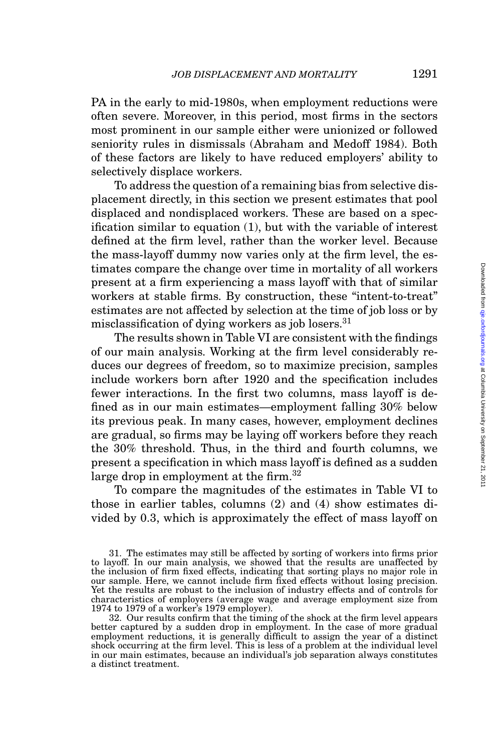PA in the early to mid-1980s, when employment reductions were often severe. Moreover, in this period, most firms in the sectors most prominent in our sample either were unionized or followed seniority rules in dismissals (Abraham and Medoff 1984). Both of these factors are likely to have reduced employers' ability to selectively displace workers.

To address the question of a remaining bias from selective displacement directly, in this section we present estimates that pool displaced and nondisplaced workers. These are based on a specification similar to equation (1), but with the variable of interest defined at the firm level, rather than the worker level. Because the mass-layoff dummy now varies only at the firm level, the estimates compare the change over time in mortality of all workers present at a firm experiencing a mass layoff with that of similar workers at stable firms. By construction, these "intent-to-treat" estimates are not affected by selection at the time of job loss or by misclassification of dying workers as job losers.<sup>31</sup>

The results shown in Table VI are consistent with the findings of our main analysis. Working at the firm level considerably reduces our degrees of freedom, so to maximize precision, samples include workers born after 1920 and the specification includes fewer interactions. In the first two columns, mass layoff is defined as in our main estimates—employment falling 30% below its previous peak. In many cases, however, employment declines are gradual, so firms may be laying off workers before they reach the 30% threshold. Thus, in the third and fourth columns, we present a specification in which mass layoff is defined as a sudden large drop in employment at the firm.32

To compare the magnitudes of the estimates in Table VI to those in earlier tables, columns (2) and (4) show estimates divided by 0.3, which is approximately the effect of mass layoff on

<sup>31.</sup> The estimates may still be affected by sorting of workers into firms prior to layoff. In our main analysis, we showed that the results are unaffected by the inclusion of firm fixed effects, indicating that sorting plays no major role in our sample. Here, we cannot include firm fixed effects without losing precision. Yet the results are robust to the inclusion of industry effects and of controls for characteristics of employers (average wage and average employment size from 1974 to 1979 of a worker's 1979 employer).

<sup>32.</sup> Our results confirm that the timing of the shock at the firm level appears better captured by a sudden drop in employment. In the case of more gradual employment reductions, it is generally difficult to assign the year of a distinct shock occurring at the firm level. This is less of a problem at the individual level in our main estimates, because an individual's job separation always constitutes a distinct treatment.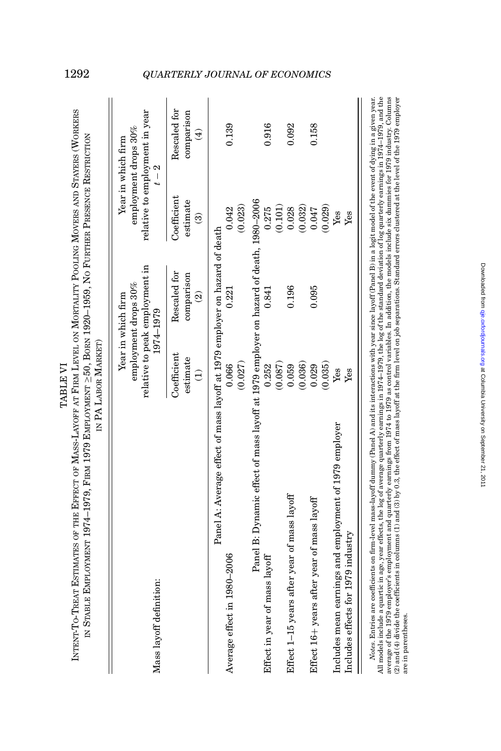| in Stable Employment 1974–1979, Firm 1979 Employment >50, Born 1920–1959, No Further Presence Restriction                                                                                                                                                                                                                                                                         | in PA Labor Market)                        |                                                                                                |                                                                      |                                                                                          |
|-----------------------------------------------------------------------------------------------------------------------------------------------------------------------------------------------------------------------------------------------------------------------------------------------------------------------------------------------------------------------------------|--------------------------------------------|------------------------------------------------------------------------------------------------|----------------------------------------------------------------------|------------------------------------------------------------------------------------------|
| Mass layoff definition:                                                                                                                                                                                                                                                                                                                                                           |                                            | relative to peak employment in<br>$employment$ drops $30\%$<br>Year in which firm<br>1974-1979 |                                                                      | relative to employment in year<br>employment drops $30\%$<br>Year in which firm<br>$t-2$ |
|                                                                                                                                                                                                                                                                                                                                                                                   | Coefficient<br>estimate<br>$\widehat{\Xi}$ | Rescaled for<br>comparison<br>$\widehat{\mathfrak{D}}$                                         | $\operatorname{Coefficient}$<br>estimate<br>$\widehat{\mathfrak{S}}$ | Rescaled for<br>comparison<br>$\widehat{\Theta}$                                         |
| Panel A: Average effect of mass layoff at 1979 employer on hazard of death<br>Average effect in 1980-2006                                                                                                                                                                                                                                                                         | (0.027)<br>0.066                           | 0.221                                                                                          | (0.023)<br>0.042                                                     | 0.139                                                                                    |
| Panel B: Dynamic effect of mass layoff at 1979 employer on hazard of death, 1980–2006<br>Effect in year of mass layoff                                                                                                                                                                                                                                                            | (0.087)<br>0.252                           | 0.841                                                                                          | (0.101)<br>0.275                                                     | 0.916                                                                                    |
| Effect 1–15 years after year of mass layoff                                                                                                                                                                                                                                                                                                                                       | (0.036)<br>0.059                           | 0.196                                                                                          | (0.032)<br>0.028                                                     | 0.092                                                                                    |
| Effect 16+ years after year of mass layoff                                                                                                                                                                                                                                                                                                                                        | (0.035)<br>0.029                           | 0.095                                                                                          | (0.029)<br>0.047                                                     | 0.158                                                                                    |
| Includes mean earnings and employment of 1979 employer<br>Includes effects for 1979 industry                                                                                                                                                                                                                                                                                      | Yes<br>Yes                                 |                                                                                                | Yes<br>Yes                                                           |                                                                                          |
| All models include a quartic in age wear effects the log of average quarterly earnings in 1974–1979 at he log of the standard deviation of log quarterly earnings in 1974–1979 and the<br>Notes. Entries are coefficients on firm-level mass-layoff dummy (Panel A) and its interactions with year since layoff (Panel B) in a logit model of the event of dying in a given year. |                                            |                                                                                                |                                                                      |                                                                                          |

rouss, nutries are coemineums on intri-tever intess-rayon unumity crame, and us interferencies with year since it an optical summate of the growth results on the growth results of the growth results of the growth results o All models include a quartic in age, year effects, the log of average quarterly earnings in 1974–1979, the log of the standard deviation of log quarterly earnings in 1974–1979, and the average of the 1979 employer's employment and quarterly earnings from 1974 to 1979 as control variables. In addition, the models include six dummies for 1979 industry. Columns (2) and (4) divide the coefficients in columns (1) and (3) by 0.3, the effect of mass layoff at the firm level on job separations. Standard errors clustered at the level of the 1979 employer are in parentheses.

TABLE VI

TABLE VI

# 1292 *QUARTERLY JOURNAL OF ECONOMICS*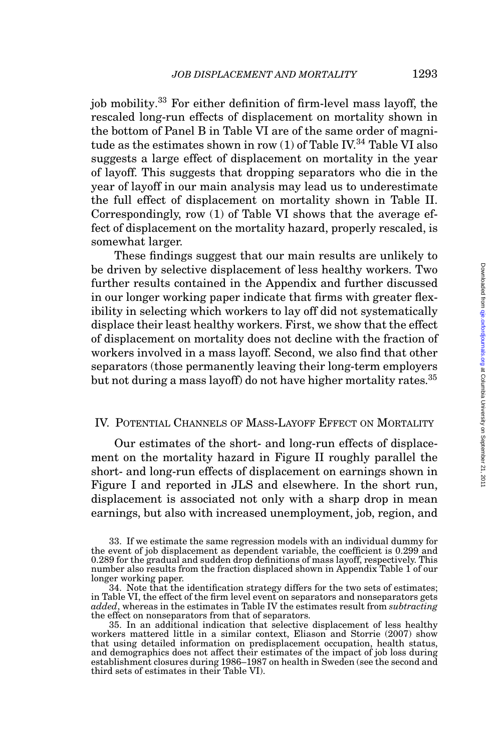job mobility.<sup>33</sup> For either definition of firm-level mass layoff, the rescaled long-run effects of displacement on mortality shown in the bottom of Panel B in Table VI are of the same order of magnitude as the estimates shown in row  $(1)$  of Table IV.<sup>34</sup> Table VI also suggests a large effect of displacement on mortality in the year of layoff. This suggests that dropping separators who die in the year of layoff in our main analysis may lead us to underestimate the full effect of displacement on mortality shown in Table II. Correspondingly, row (1) of Table VI shows that the average effect of displacement on the mortality hazard, properly rescaled, is somewhat larger.

These findings suggest that our main results are unlikely to be driven by selective displacement of less healthy workers. Two further results contained in the Appendix and further discussed in our longer working paper indicate that firms with greater flexibility in selecting which workers to lay off did not systematically displace their least healthy workers. First, we show that the effect of displacement on mortality does not decline with the fraction of workers involved in a mass layoff. Second, we also find that other separators (those permanently leaving their long-term employers but not during a mass layoff) do not have higher mortality rates.<sup>35</sup>

### IV. POTENTIAL CHANNELS OF MASS-LAYOFF EFFECT ON MORTALITY

Our estimates of the short- and long-run effects of displacement on the mortality hazard in Figure II roughly parallel the short- and long-run effects of displacement on earnings shown in Figure I and reported in JLS and elsewhere. In the short run, displacement is associated not only with a sharp drop in mean earnings, but also with increased unemployment, job, region, and

<sup>33.</sup> If we estimate the same regression models with an individual dummy for the event of job displacement as dependent variable, the coefficient is 0.299 and 0.289 for the gradual and sudden drop definitions of mass layoff, respectively. This number also results from the fraction displaced shown in Appendix Table 1 of our longer working paper.

<sup>34.</sup> Note that the identification strategy differs for the two sets of estimates; in Table VI, the effect of the firm level event on separators and nonseparators gets *added*, whereas in the estimates in Table IV the estimates result from *subtracting* the effect on nonseparators from that of separators.

<sup>35.</sup> In an additional indication that selective displacement of less healthy workers mattered little in a similar context, Eliason and Storrie (2007) show that using detailed information on predisplacement occupation, health status, and demographics does not affect their estimates of the impact of job loss during establishment closures during 1986–1987 on health in Sweden (see the second and third sets of estimates in their Table VI).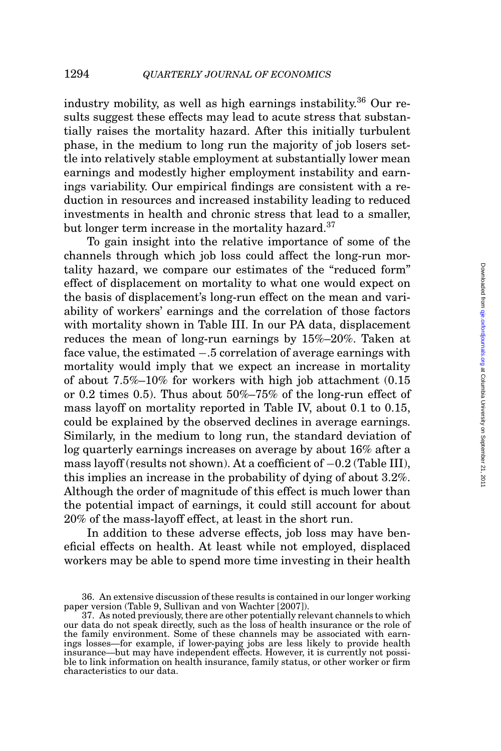industry mobility, as well as high earnings instability.<sup>36</sup> Our results suggest these effects may lead to acute stress that substantially raises the mortality hazard. After this initially turbulent phase, in the medium to long run the majority of job losers settle into relatively stable employment at substantially lower mean earnings and modestly higher employment instability and earnings variability. Our empirical findings are consistent with a reduction in resources and increased instability leading to reduced investments in health and chronic stress that lead to a smaller, but longer term increase in the mortality hazard.<sup>37</sup>

To gain insight into the relative importance of some of the channels through which job loss could affect the long-run mortality hazard, we compare our estimates of the "reduced form" effect of displacement on mortality to what one would expect on the basis of displacement's long-run effect on the mean and variability of workers' earnings and the correlation of those factors with mortality shown in Table III. In our PA data, displacement reduces the mean of long-run earnings by 15%–20%. Taken at face value, the estimated −.5 correlation of average earnings with mortality would imply that we expect an increase in mortality of about 7.5%–10% for workers with high job attachment (0.15 or 0.2 times 0.5). Thus about 50%–75% of the long-run effect of mass layoff on mortality reported in Table IV, about 0.1 to 0.15, could be explained by the observed declines in average earnings. Similarly, in the medium to long run, the standard deviation of log quarterly earnings increases on average by about 16% after a mass layoff (results not shown). At a coefficient of −0.2 (Table III), this implies an increase in the probability of dying of about 3.2%. Although the order of magnitude of this effect is much lower than the potential impact of earnings, it could still account for about 20% of the mass-layoff effect, at least in the short run.

In addition to these adverse effects, job loss may have beneficial effects on health. At least while not employed, displaced workers may be able to spend more time investing in their health

<sup>36.</sup> An extensive discussion of these results is contained in our longer working paper version (Table 9, Sullivan and von Wachter [2007]).

<sup>37.</sup> As noted previously, there are other potentially relevant channels to which our data do not speak directly, such as the loss of health insurance or the role of the family environment. Some of these channels may be associated with earnings losses—for example, if lower-paying jobs are less likely to provide health insurance—but may have independent effects. However, it is currently not possible to link information on health insurance, family status, or other worker or firm characteristics to our data.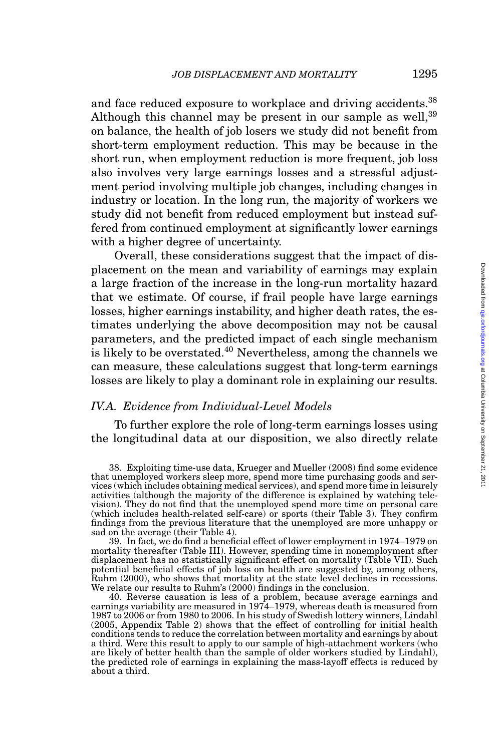and face reduced exposure to workplace and driving accidents.<sup>38</sup> Although this channel may be present in our sample as well,  $39$ on balance, the health of job losers we study did not benefit from short-term employment reduction. This may be because in the short run, when employment reduction is more frequent, job loss also involves very large earnings losses and a stressful adjustment period involving multiple job changes, including changes in industry or location. In the long run, the majority of workers we study did not benefit from reduced employment but instead suffered from continued employment at significantly lower earnings with a higher degree of uncertainty.

Overall, these considerations suggest that the impact of displacement on the mean and variability of earnings may explain a large fraction of the increase in the long-run mortality hazard that we estimate. Of course, if frail people have large earnings losses, higher earnings instability, and higher death rates, the estimates underlying the above decomposition may not be causal parameters, and the predicted impact of each single mechanism is likely to be overstated.<sup>40</sup> Nevertheless, among the channels we can measure, these calculations suggest that long-term earnings losses are likely to play a dominant role in explaining our results.

### *IV.A. Evidence from Individual-Level Models*

To further explore the role of long-term earnings losses using the longitudinal data at our disposition, we also directly relate

38. Exploiting time-use data, Krueger and Mueller (2008) find some evidence that unemployed workers sleep more, spend more time purchasing goods and services (which includes obtaining medical services), and spend more time in leisurely activities (although the majority of the difference is explained by watching television). They do not find that the unemployed spend more time on personal care (which includes health-related self-care) or sports (their Table 3). They confirm findings from the previous literature that the unemployed are more unhappy or sad on the average (their Table 4).

39. In fact, we do find a beneficial effect of lower employment in 1974–1979 on mortality thereafter (Table III). However, spending time in nonemployment after displacement has no statistically significant effect on mortality (Table VII). Such potential beneficial effects of job loss on health are suggested by, among others, Ruhm (2000), who shows that mortality at the state level declines in recessions. We relate our results to Ruhm's (2000) findings in the conclusion.

40. Reverse causation is less of a problem, because average earnings and<br>earnings variability are measured in 1974–1979, whereas death is measured from<br>1987 to 2006 or from 1980 to 2006. In his study of Swedish lottery win conditions tends to reduce the correlation between mortality and earnings by about a third. Were this result to apply to our sample of high-attachment workers (who are likely of better health than the sample of older workers studied by Lindahl), the predicted role of earnings in explaining the mass-layoff effects is reduced by about a third.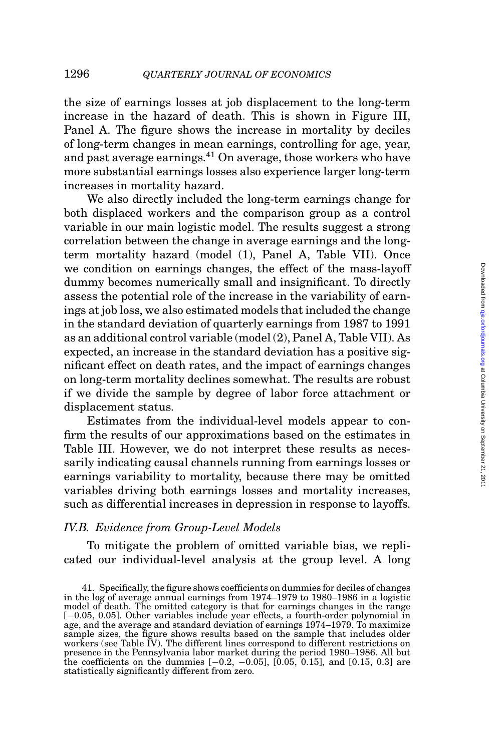the size of earnings losses at job displacement to the long-term increase in the hazard of death. This is shown in Figure III, Panel A. The figure shows the increase in mortality by deciles of long-term changes in mean earnings, controlling for age, year, and past average earnings.<sup>41</sup> On average, those workers who have more substantial earnings losses also experience larger long-term increases in mortality hazard.

We also directly included the long-term earnings change for both displaced workers and the comparison group as a control variable in our main logistic model. The results suggest a strong correlation between the change in average earnings and the longterm mortality hazard (model (1), Panel A, Table VII). Once we condition on earnings changes, the effect of the mass-layoff dummy becomes numerically small and insignificant. To directly assess the potential role of the increase in the variability of earnings at job loss, we also estimated models that included the change in the standard deviation of quarterly earnings from 1987 to 1991 as an additional control variable (model (2), Panel A, Table VII). As expected, an increase in the standard deviation has a positive significant effect on death rates, and the impact of earnings changes on long-term mortality declines somewhat. The results are robust if we divide the sample by degree of labor force attachment or displacement status.

Estimates from the individual-level models appear to confirm the results of our approximations based on the estimates in Table III. However, we do not interpret these results as necessarily indicating causal channels running from earnings losses or earnings variability to mortality, because there may be omitted variables driving both earnings losses and mortality increases, such as differential increases in depression in response to layoffs.

### *IV.B. Evidence from Group-Level Models*

To mitigate the problem of omitted variable bias, we replicated our individual-level analysis at the group level. A long

<sup>41.</sup> Specifically, the figure shows coefficients on dummies for deciles of changes in the log of average annual earnings from 1974–1979 to 1980–1986 in a logistic model of death. The omitted category is that for earnings changes in the range [−0.05, 0.05]. Other variables include year effects, a fourth-order polynomial in age, and the average and standard deviation of earnings 1974–1979. To maximize sample sizes, the figure shows results based on the sample that includes older workers (see Table IV). The different lines correspond to different restrictions on presence in the Pennsylvania labor market during the period 1980–1986. All but the coefficients on the dummies  $[-0.2, -0.05]$ , [0.05, 0.15], and [0.15, 0.3] are statistically significantly different from zero.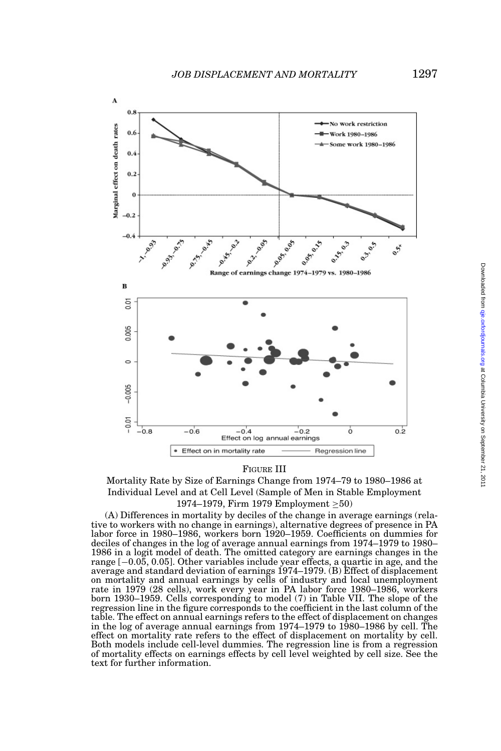

FIGURE III

Mortality Rate by Size of Earnings Change from 1974–79 to 1980–1986 at Individual Level and at Cell Level (Sample of Men in Stable Employment 1974–1979, Firm 1979 Employment ≥50)

(A) Differences in mortality by deciles of the change in average earnings (relative to workers with no change in earnings), alternative degrees of presence in PA labor force in 1980–1986, workers born 1920–1959. Coefficients on dummies for deciles of changes in the log of average annual earnings from 1974–1979 to 1980– 1986 in a logit model of death. The omitted category are earnings changes in the range [−0.05, 0.05]. Other variables include year effects, a quartic in age, and the average and standard deviation of earnings 1974–1979. (B) Effect of displacement on mortality and annual earnings by cells of industry and local unemployment rate in 1979 (28 cells), work every year in PA labor force 1980–1986, workers born 1930–1959. Cells corresponding to model (7) in Table VII. The slope of the regression line in the figure corresponds to the coefficient in the last column of the table. The effect on annual earnings refers to the effect of displacement on changes in the log of average annual earnings from 1974–1979 to 1980–1986 by cell. The effect on mortality rate refers to the effect of displacement on mortality by cell. Both models include cell-level dummies. The regression line is from a regression of mortality effects on earnings effects by cell level weighted by cell size. See the text for further information.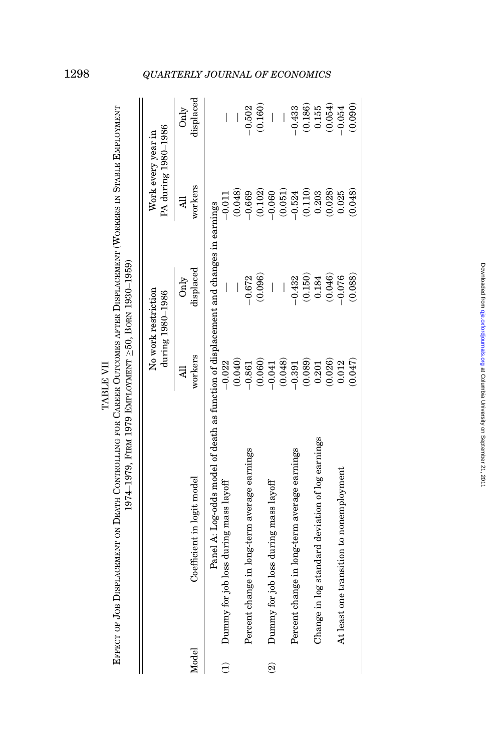|                                                                                                                                                                             |                                           | displaced<br>Only                   |                                                                                      | I                                                        | I       | $-0.502$                                     | (0.160) | I                                                                 |         | $-0.433$                                     | (0.186) | 0.155                                            | (0.054) | $-0.054$                                 | (0.090) |
|-----------------------------------------------------------------------------------------------------------------------------------------------------------------------------|-------------------------------------------|-------------------------------------|--------------------------------------------------------------------------------------|----------------------------------------------------------|---------|----------------------------------------------|---------|-------------------------------------------------------------------|---------|----------------------------------------------|---------|--------------------------------------------------|---------|------------------------------------------|---------|
|                                                                                                                                                                             | PA during 1980-1986<br>Work every year in | workers<br>크                        |                                                                                      | $-0.011$                                                 | (0.048) | $-0.669$                                     | (0.102) | $-0.060$                                                          | (0.051) | $-0.524$                                     | (0.110) | 0.203                                            | (0.028) | 0.025                                    | (0.048) |
|                                                                                                                                                                             |                                           | $_{\rm{displaced}}$<br>Only         |                                                                                      |                                                          | I       | $-0.672$                                     | (0.096) | I                                                                 | I       | $-0.432$                                     | (0.150) | 0.184                                            | (0.046) | $-0.076$                                 | (0.088) |
| TABLE VII                                                                                                                                                                   | No work restriction<br>during 1980-1986   | workers<br>$\overline{AB}$          |                                                                                      | $-0.022$                                                 | (0.040) | $-0.861$                                     | (0.060) | $-0.041$                                                          | (0.048) | $-0.391$                                     | (0.089) | 0.201                                            | (0.026) | 0.012                                    | (0.047) |
| Effect of Joe Displacement on Death Controlling for Career Outcomes after Displacement (Workers in Stable Employment<br>1974–1979, F¤м 1979 Емрlоумехт ≥50, Вовм 1930–1959) |                                           | Coefficient in logit model<br>Model | Panel A: Log-odds model of death as function of displacement and changes in earnings | Dummy for job loss during mass layoff<br>$\widehat{\Xi}$ |         | Percent change in long-term average earnings |         | Dummy for job loss during mass layoff<br>$\widehat{\mathfrak{D}}$ |         | Percent change in long-term average earnings |         | Change in log standard deviation of log earnings |         | At least one transition to nonemployment |         |

# 1298 *QUARTERLY JOURNAL OF ECONOMICS*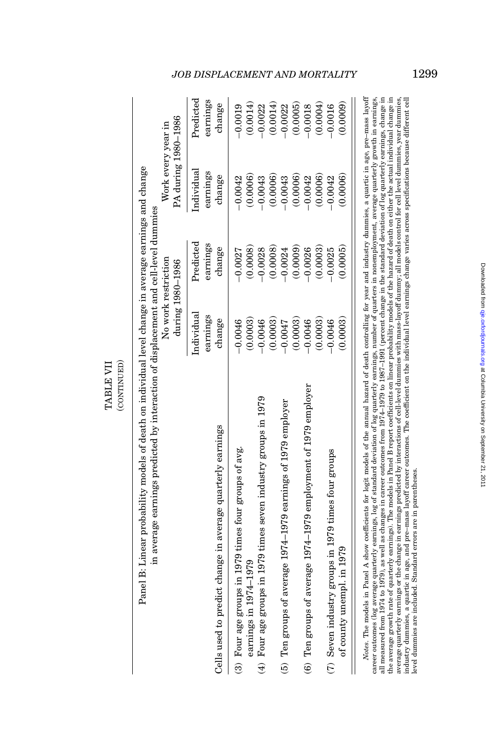| Panel B: Linear probability models of death on individual level change in average earnings and change<br>in average earnings predicted by interaction of displacement and cell-level dummies |                        |                                         |                                           |                    |
|----------------------------------------------------------------------------------------------------------------------------------------------------------------------------------------------|------------------------|-----------------------------------------|-------------------------------------------|--------------------|
|                                                                                                                                                                                              |                        | No work restriction<br>during 1980-1986 | PA during 1980-1986<br>Work every year in |                    |
|                                                                                                                                                                                              | Individual<br>earnings | earnings<br>Predicted                   | Individual<br>earnings                    | Predicted          |
| Cells used to predict change in average quarterly earnings                                                                                                                                   | change                 | change                                  | change                                    | earnings<br>change |
| (3) Four age groups in 1979 times four groups of avg.                                                                                                                                        | $-0.0046$              | $-0.0027$                               | $-0.0042$                                 | $-0.0019$          |
| earnings in 1974-1979                                                                                                                                                                        | (0.0003)               | (0.0008)                                | (0.0006)                                  | (0.0014)           |
| $(4)$ Four age groups in 1979 times seven industry groups in 1979                                                                                                                            | $-0.0046$              | $-0.0028$                               | $-0.0043$                                 | $-0.0022$          |
|                                                                                                                                                                                              | (0.0003)               | 0.0008                                  | 0.0006                                    | (0.0014)           |
| (5) Ten groups of average $1974-1979$ earnings of 1979 employer                                                                                                                              | $-0.0047$              | $-0.0024$                               | $-0.0043$                                 | $-0.0022$          |
|                                                                                                                                                                                              | (0.0003)               | 0.0009                                  | 0.0006                                    | (0.0005)           |
| $(6)$ Ten groups of average 1974–1979 employment of 1979 employer                                                                                                                            | $-0.0046$              | $-0.0026$                               | $-0.0042$                                 | $-0.0018$          |
|                                                                                                                                                                                              | (0.0003)               | 0.0003                                  | 0.0006                                    | (0.0004)           |
| (7) Seven industry groups in 1979 times four groups                                                                                                                                          | $-0.0046$              | $-0.0025$                               | $-0.0042$                                 | $-0.0016$          |
| of county unempl. in 1979                                                                                                                                                                    | (0.0003)               | 0.0005                                  | 0.0006                                    | (0.0009)           |

TABLE VII

TABLE VII

### *JOB DISPLACEMENT AND MORTALITY* 1299

career outcomes (log average quarterly earnings, log of standard deviation of log quarterly samings, number of quarters in nonemployment, average quarterly growth in earnings, all measured from 1974 to 1979), as well as c industry dummies, a quartic in age, and pre-mass layoff career outcomes. The coefficient on the individual level earnings change varies across specifications because different cell<br>level dummies are included. Standard erro all measured from 1974 to 1979), as well as changes in career outcomes from 1974–1979 to 1987–1991 (percent change in the standard deviation of log quarterly earnings, change in the average growth rate of quarterly earnings). The models in Panel B report coefficients on linear probability models of the hazard of death on either the actual individual change in average quarterly earnings or the change in earnings predicted by interactions of cell-level dummies with mass-layoff dummy; all models control for cell level dummies, year dummies, industry dummies, a quartic in age, and pre–mass layoff career outcomes. The coefficient on the individual level earnings change varies across specifications because different cell level dummies are included. Standard errors are in parentheses.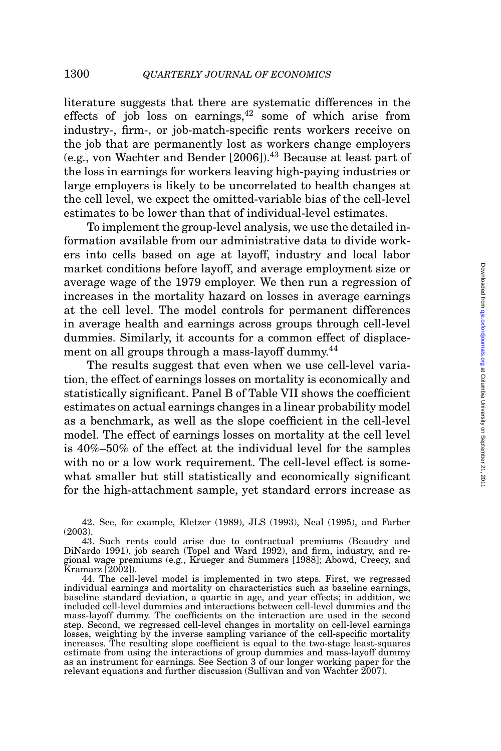literature suggests that there are systematic differences in the effects of job loss on earnings,  $42$  some of which arise from industry-, firm-, or job-match-specific rents workers receive on the job that are permanently lost as workers change employers (e.g., von Wachter and Bender [2006]).43 Because at least part of the loss in earnings for workers leaving high-paying industries or large employers is likely to be uncorrelated to health changes at the cell level, we expect the omitted-variable bias of the cell-level estimates to be lower than that of individual-level estimates.

To implement the group-level analysis, we use the detailed information available from our administrative data to divide workers into cells based on age at layoff, industry and local labor market conditions before layoff, and average employment size or average wage of the 1979 employer. We then run a regression of increases in the mortality hazard on losses in average earnings at the cell level. The model controls for permanent differences in average health and earnings across groups through cell-level dummies. Similarly, it accounts for a common effect of displacement on all groups through a mass-layoff dummy.<sup>44</sup>

The results suggest that even when we use cell-level variation, the effect of earnings losses on mortality is economically and statistically significant. Panel B of Table VII shows the coefficient estimates on actual earnings changes in a linear probability model as a benchmark, as well as the slope coefficient in the cell-level model. The effect of earnings losses on mortality at the cell level is 40%–50% of the effect at the individual level for the samples with no or a low work requirement. The cell-level effect is somewhat smaller but still statistically and economically significant for the high-attachment sample, yet standard errors increase as

<sup>42.</sup> See, for example, Kletzer (1989), JLS (1993), Neal (1995), and Farber (2003).

<sup>43.</sup> Such rents could arise due to contractual premiums (Beaudry and DiNardo 1991), job search (Topel and Ward 1992), and firm, industry, and regional wage premiums (e.g., Krueger and Summers [1988]; Abowd, Creecy, and Kramarz [2002]).

<sup>44.</sup> The cell-level model is implemented in two steps. First, we regressed individual earnings and mortality on characteristics such as baseline earnings, baseline standard deviation, a quartic in age, and year effects; in addition, we included cell-level dummies and interactions between cell-level dummies and the mass-layoff dummy. The coefficients on the interaction are used in the second step. Second, we regressed cell-level changes in mortality on cell-level earnings losses, weighting by the inverse sampling variance of the cell-specific mortality increases. The resulting slope coefficient is equal to the two-stage least-squares estimate from using the interactions of group dummies and mass-layoff dummy as an instrument for earnings. See Section 3 of our longer working paper for the relevant equations and further discussion (Sullivan and von Wachter 2007).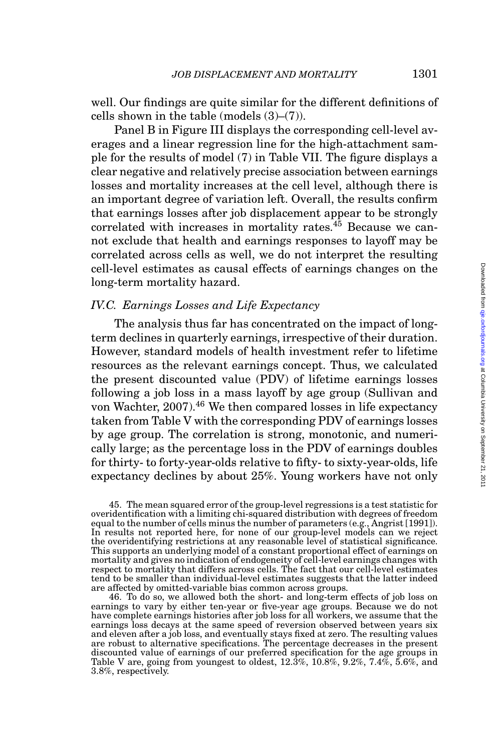well. Our findings are quite similar for the different definitions of cells shown in the table (models (3)–(7)).

Panel B in Figure III displays the corresponding cell-level averages and a linear regression line for the high-attachment sample for the results of model (7) in Table VII. The figure displays a clear negative and relatively precise association between earnings losses and mortality increases at the cell level, although there is an important degree of variation left. Overall, the results confirm that earnings losses after job displacement appear to be strongly correlated with increases in mortality rates.<sup>45</sup> Because we cannot exclude that health and earnings responses to layoff may be correlated across cells as well, we do not interpret the resulting cell-level estimates as causal effects of earnings changes on the long-term mortality hazard.

### *IV.C. Earnings Losses and Life Expectancy*

The analysis thus far has concentrated on the impact of longterm declines in quarterly earnings, irrespective of their duration. However, standard models of health investment refer to lifetime resources as the relevant earnings concept. Thus, we calculated the present discounted value (PDV) of lifetime earnings losses following a job loss in a mass layoff by age group (Sullivan and von Wachter, 2007).<sup>46</sup> We then compared losses in life expectancy taken from Table V with the corresponding PDV of earnings losses by age group. The correlation is strong, monotonic, and numerically large; as the percentage loss in the PDV of earnings doubles for thirty- to forty-year-olds relative to fifty- to sixty-year-olds, life expectancy declines by about 25%. Young workers have not only

45. The mean squared error of the group-level regressions is a test statistic for overidentification with a limiting chi-squared distribution with degrees of freedom equal to the number of cells minus the number of parameters (e.g., Angrist [1991]). In results not reported here, for none of our group-level models can we reject the overidentifying restrictions at any reasonable level of statistical significance. This supports an underlying model of a constant proportional effect of earnings on mortality and gives no indication of endogeneity of cell-level earnings changes with respect to mortality that differs across cells. The fact that our cell-level estimates tend to be smaller than individual-level estimates suggests that the latter indeed are affected by omitted-variable bias common across groups.

46. To do so, we allowed both the short- and long-term effects of job loss on earnings to vary by either ten-year or five-year age groups. Because we do not have complete earnings histories after job loss for all workers, we assume that the earnings loss decays at the same speed of reversion observed between years six and eleven after a job loss, and eventually stays fixed at zero. The resulting values are robust to alternative specifications. The percentage decreases in the present discounted value of earnings of our preferred specification for the age groups in Table V are, going from youngest to oldest,  $12.3\%$ ,  $10.8\%$ ,  $9.2\%$ ,  $7.4\%$ ,  $5.6\%$ , and 3.8%, respectively.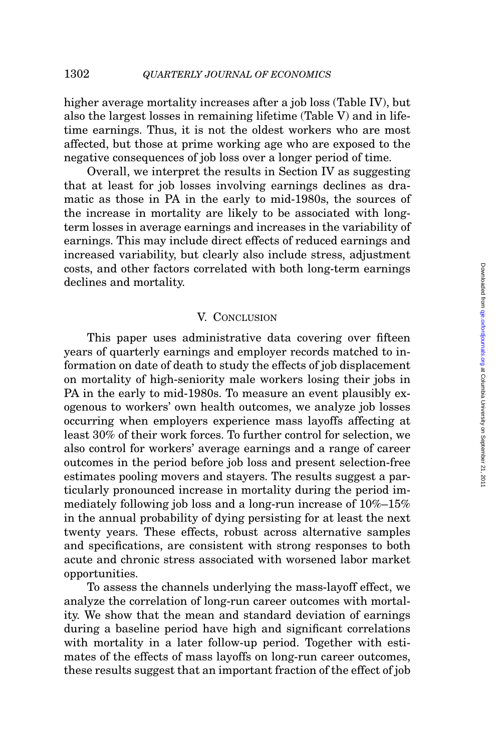higher average mortality increases after a job loss (Table IV), but also the largest losses in remaining lifetime (Table V) and in lifetime earnings. Thus, it is not the oldest workers who are most affected, but those at prime working age who are exposed to the negative consequences of job loss over a longer period of time.

Overall, we interpret the results in Section IV as suggesting that at least for job losses involving earnings declines as dramatic as those in PA in the early to mid-1980s, the sources of the increase in mortality are likely to be associated with longterm losses in average earnings and increases in the variability of earnings. This may include direct effects of reduced earnings and increased variability, but clearly also include stress, adjustment costs, and other factors correlated with both long-term earnings declines and mortality.

### V. CONCLUSION

This paper uses administrative data covering over fifteen years of quarterly earnings and employer records matched to information on date of death to study the effects of job displacement on mortality of high-seniority male workers losing their jobs in PA in the early to mid-1980s. To measure an event plausibly exogenous to workers' own health outcomes, we analyze job losses occurring when employers experience mass layoffs affecting at least 30% of their work forces. To further control for selection, we also control for workers' average earnings and a range of career outcomes in the period before job loss and present selection-free estimates pooling movers and stayers. The results suggest a particularly pronounced increase in mortality during the period immediately following job loss and a long-run increase of 10%–15% in the annual probability of dying persisting for at least the next twenty years. These effects, robust across alternative samples and specifications, are consistent with strong responses to both acute and chronic stress associated with worsened labor market opportunities.

To assess the channels underlying the mass-layoff effect, we analyze the correlation of long-run career outcomes with mortality. We show that the mean and standard deviation of earnings during a baseline period have high and significant correlations with mortality in a later follow-up period. Together with estimates of the effects of mass layoffs on long-run career outcomes, these results suggest that an important fraction of the effect of job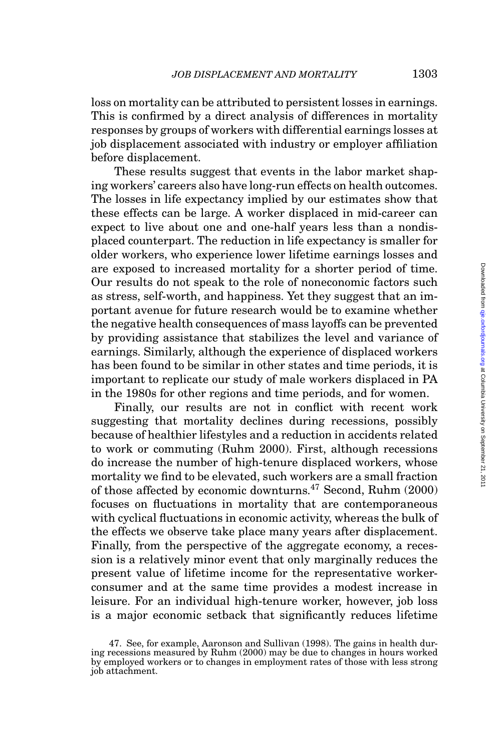loss on mortality can be attributed to persistent losses in earnings. This is confirmed by a direct analysis of differences in mortality responses by groups of workers with differential earnings losses at job displacement associated with industry or employer affiliation before displacement.

These results suggest that events in the labor market shaping workers' careers also have long-run effects on health outcomes. The losses in life expectancy implied by our estimates show that these effects can be large. A worker displaced in mid-career can expect to live about one and one-half years less than a nondisplaced counterpart. The reduction in life expectancy is smaller for older workers, who experience lower lifetime earnings losses and are exposed to increased mortality for a shorter period of time. Our results do not speak to the role of noneconomic factors such as stress, self-worth, and happiness. Yet they suggest that an important avenue for future research would be to examine whether the negative health consequences of mass layoffs can be prevented by providing assistance that stabilizes the level and variance of earnings. Similarly, although the experience of displaced workers has been found to be similar in other states and time periods, it is important to replicate our study of male workers displaced in PA in the 1980s for other regions and time periods, and for women.

Finally, our results are not in conflict with recent work suggesting that mortality declines during recessions, possibly because of healthier lifestyles and a reduction in accidents related to work or commuting (Ruhm 2000). First, although recessions do increase the number of high-tenure displaced workers, whose mortality we find to be elevated, such workers are a small fraction of those affected by economic downturns.<sup>47</sup> Second, Ruhm  $(2000)$ focuses on fluctuations in mortality that are contemporaneous with cyclical fluctuations in economic activity, whereas the bulk of the effects we observe take place many years after displacement. Finally, from the perspective of the aggregate economy, a recession is a relatively minor event that only marginally reduces the present value of lifetime income for the representative workerconsumer and at the same time provides a modest increase in leisure. For an individual high-tenure worker, however, job loss is a major economic setback that significantly reduces lifetime

<sup>47.</sup> See, for example, Aaronson and Sullivan (1998). The gains in health dur-ing recessions measured by Ruhm (2000) may be due to changes in hours worked by employed workers or to changes in employment rates of those with less strong job attachment.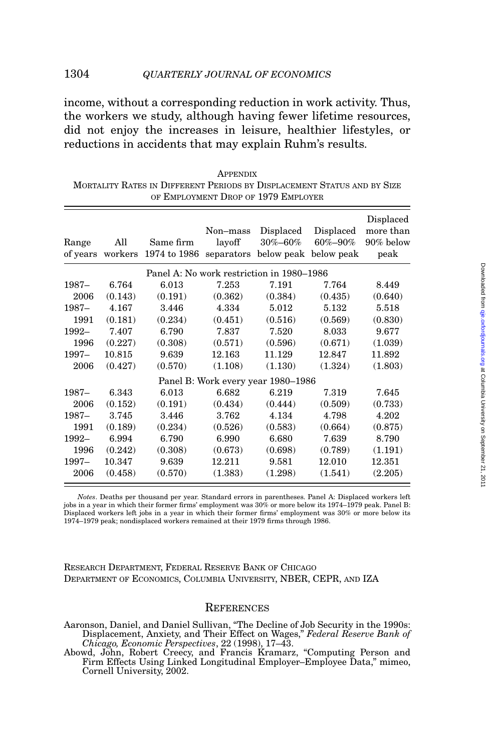### 1304 *QUARTERLY JOURNAL OF ECONOMICS*

income, without a corresponding reduction in work activity. Thus, the workers we study, although having fewer lifetime resources, did not enjoy the increases in leisure, healthier lifestyles, or reductions in accidents that may explain Ruhm's results.

| Range    | All     | Same firm                                 | Non-mass<br>layoff | Displaced<br>$30\% - 60\%$         | Displaced<br>$60\% - 90\%$ | Displaced<br>more than<br>90% below |
|----------|---------|-------------------------------------------|--------------------|------------------------------------|----------------------------|-------------------------------------|
| of years | workers | 1974 to 1986                              | separators         |                                    | below peak below peak      | peak                                |
|          |         | Panel A: No work restriction in 1980–1986 |                    |                                    |                            |                                     |
| 1987-    | 6.764   | 6.013                                     | 7.253              | 7.191                              | 7.764                      | 8.449                               |
| 2006     | (0.143) | (0.191)                                   | (0.362)            | (0.384)                            | (0.435)                    | (0.640)                             |
| 1987-    | 4.167   | 3.446                                     | 4.334              | 5.012                              | 5.132                      | 5.518                               |
| 1991     | (0.181) | (0.234)                                   | (0.451)            | (0.516)                            | (0.569)                    | (0.830)                             |
| $1992-$  | 7.407   | 6.790                                     | 7.837              | 7.520                              | 8.033                      | 9.677                               |
| 1996     | (0.227) | (0.308)                                   | (0.571)            | (0.596)                            | (0.671)                    | (1.039)                             |
| 1997-    | 10.815  | 9.639                                     | 12.163             | 11.129                             | 12.847                     | 11.892                              |
| 2006     | (0.427) | (0.570)                                   | (1.108)            | (1.130)                            | (1.324)                    | (1.803)                             |
|          |         |                                           |                    | Panel B: Work every year 1980–1986 |                            |                                     |
| 1987-    | 6.343   | 6.013                                     | 6.682              | 6.219                              | 7.319                      | 7.645                               |
| 2006     | (0.152) | (0.191)                                   | (0.434)            | (0.444)                            | (0.509)                    | (0.733)                             |
| 1987-    | 3.745   | 3.446                                     | 3.762              | 4.134                              | 4.798                      | 4.202                               |
| 1991     | (0.189) | (0.234)                                   | (0.526)            | (0.583)                            | (0.664)                    | (0.875)                             |
| $1992-$  | 6.994   | 6.790                                     | 6.990              | 6.680                              | 7.639                      | 8.790                               |
| 1996     | (0.242) | (0.308)                                   | (0.673)            | (0.698)                            | (0.789)                    | (1.191)                             |
| $1997-$  | 10.347  | 9.639                                     | 12.211             | 9.581                              | 12.010                     | 12.351                              |
| 2006     | (0.458) | (0.570)                                   | (1.383)            | (1.298)                            | (1.541)                    | (2.205)                             |

**APPENDIX** MORTALITY RATES IN DIFFERENT PERIODS BY DISPLACEMENT STATUS AND BY SIZE OF EMPLOYMENT DROP OF 1979 EMPLOYER

*Notes*. Deaths per thousand per year. Standard errors in parentheses. Panel A: Displaced workers left jobs in a year in which their former firms' employment was 30% or more below its 1974–1979 peak. Panel B: Displaced workers left jobs in a year in which their former firms' employment was 30% or more below its 1974–1979 peak; nondisplaced workers remained at their 1979 firms through 1986.

RESEARCH DEPARTMENT, FEDERAL RESERVE BANK OF CHICAGO DEPARTMENT OF ECONOMICS, COLUMBIA UNIVERSITY, NBER, CEPR, AND IZA

### **REFERENCES**

Aaronson, Daniel, and Daniel Sullivan, "The Decline of Job Security in the 1990s: Displacement, Anxiety, and Their Effect on Wages," *Federal Reserve Bank of*

*Chicago, Economic Perspectives*, 22 (1998), 17–43. Abowd, John, Robert Creecy, and Francis Kramarz, "Computing Person and Firm Effects Using Linked Longitudinal Employer–Employee Data," mimeo, Cornell University, 2002.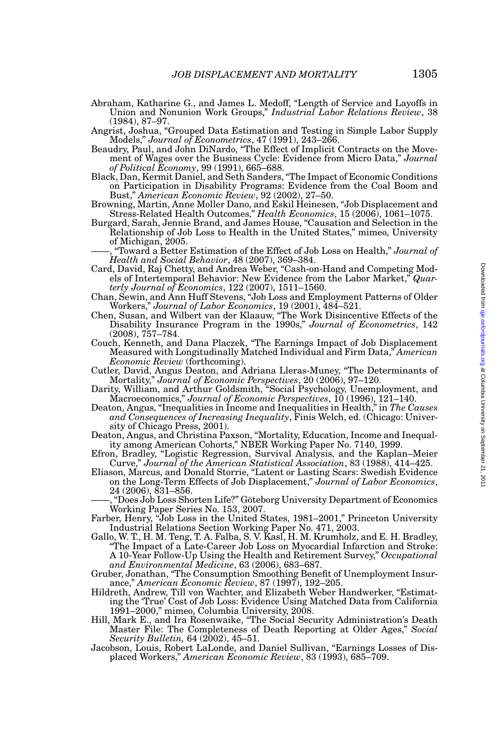- Abraham, Katharine G., and James L. Medoff, "Length of Service and Layoffs in Union and Nonunion Work Groups," *Industrial Labor Relations Review*, 38 (1984), 87–97.
- Angrist, Joshua, "Grouped Data Estimation and Testing in Simple Labor Supply
- Models," *Journal of Econometrics*, 47 (1991), 243–266. Beaudry, Paul, and John DiNardo, "The Effect of Implicit Contracts on the Movement of Wages over the Business Cycle: Evidence from Micro Data," *Journal of Political Economy*, 99 (1991), 665–688.
- Black, Dan, Kermit Daniel, and Seth Sanders, "The Impact of Economic Conditions on Participation in Disability Programs: Evidence from the Coal Boom and Bust," *American Economic Review*, 92 (2002), 27–50.
- Browning, Martin, Anne Moller Dano, and Eskil Heinesen, "Job Displacement and Stress-Related Health Outcomes," *Health Economics*, 15 (2006), 1061–1075.
- Burgard, Sarah, Jennie Brand, and James House, "Causation and Selection in the Relationship of Job Loss to Health in the United States," mimeo, University of Michigan, 2005.
- ——, "Toward a Better Estimation of the Effect of Job Loss on Health," *Journal of Health and Social Behavior*, 48 (2007), 369–384.
- Card, David, Raj Chetty, and Andrea Weber, "Cash-on-Hand and Competing Models of Intertemporal Behavior: New Evidence from the Labor Market," *Quarterly Journal of Economics*, 122 (2007), 1511–1560.
- Chan, Sewin, and Ann Huff Stevens, "Job Loss and Employment Patterns of Older
- Workers," *Journal of Labor Economics*, 19 (2001), 484–521. Chen, Susan, and Wilbert van der Klaauw, "The Work Disincentive Effects of the Disability Insurance Program in the 1990s," *Journal of Econometrics*, 142
- Couch, Kenneth, and Dana Placzek, "The Earnings Impact of Job Displacement Measured with Longitudinally Matched Individual and Firm Data," *American Economic Review* (forthcoming).
- Cutler, David, Angus Deaton, and Adriana Lleras-Muney, "The Determinants of Mortality," *Journal of Economic Perspectives*, 20 (2006), 97–120. Darity, William, and Arthur Goldsmith, "Social Psychology, Unemployment, and
- Macroeconomics," *Journal of Economic Perspectives*, 10 (1996), 121–140.
- Deaton, Angus, "Inequalities in Income and Inequalities in Health," in *The Causes and Consequences of Increasing Inequality*, Finis Welch, ed. (Chicago: University of Chicago Press, 2001).
- Deaton, Angus, and Christina Paxson, "Mortality, Education, Income and Inequal-ity among American Cohorts," NBER Working Paper No. 7140, 1999. Efron, Bradley, "Logistic Regression, Survival Analysis, and the Kaplan–Meier
- Curve," *Journal of the American Statistical Association*, 83 (1988), 414–425.
- Eliason, Marcus, and Donald Storrie, "Latent or Lasting Scars: Swedish Evidence on the Long-Term Effects of Job Displacement," *Journal of Labor Economics*, 24 (2006), 831–856.

——, "Does Job Loss Shorten Life?" Goteborg University Department of Economics ¨ Working Paper Series No. 153, 2007.

- Farber, Henry, "Job Loss in the United States, 1981–2001," Princeton University Industrial Relations Section Working Paper No. 471, 2003. Gallo, W. T., H. M. Teng, T. A. Falba, S. V. Kasl, H. M. Krumholz, and E. H. Bradley,
- "The Impact of a Late-Career Job Loss on Myocardial Infarction and Stroke: A 10-Year Follow-Up Using the Health and Retirement Survey," *Occupational and Environmental Medicine*, 63 (2006), 683–687.
- Gruber, Jonathan, "The Consumption Smoothing Benefit of Unemployment Insurance," *American Economic Review*, 87 (1997), 192–205.
- Hildreth, Andrew, Till von Wachter, and Elizabeth Weber Handwerker, "Estimating the 'True' Cost of Job Loss: Evidence Using Matched Data from California 1991–2000," mimeo, Columbia University, 2008.
- Hill, Mark E., and Ira Rosenwaike, "The Social Security Administration's Death Master File: The Completeness of Death Reporting at Older Ages," *Social Security Bulletin,* 64 (2002), 45–51.
- Jacobson, Louis, Robert LaLonde, and Daniel Sullivan, "Earnings Losses of Displaced Workers," *American Economic Review*, 83 (1993), 685–709.